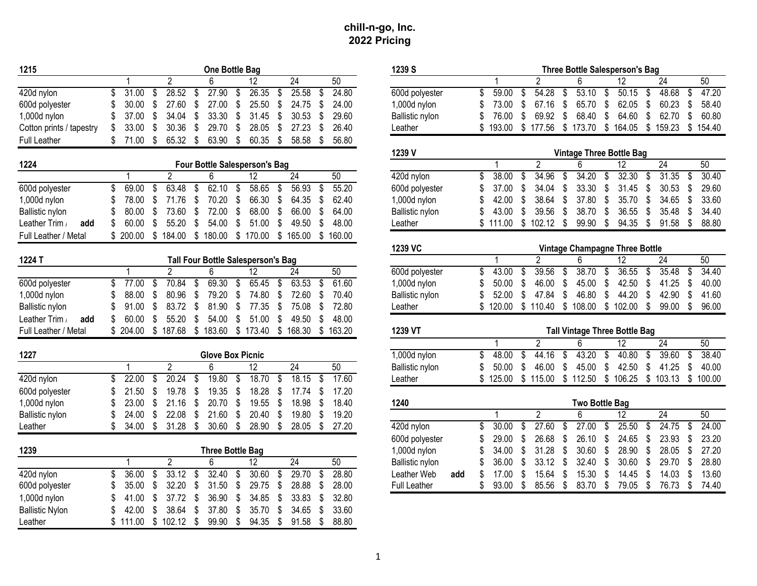| 1215                     |              |     |                     |               | One Bottle Bag                      |                 |                 |      |        | 1239 S                 |     |              |    |                                      |    |                       |     | <b>Three Bottle Salesperson's Bag</b> |    |                 |             |
|--------------------------|--------------|-----|---------------------|---------------|-------------------------------------|-----------------|-----------------|------|--------|------------------------|-----|--------------|----|--------------------------------------|----|-----------------------|-----|---------------------------------------|----|-----------------|-------------|
|                          |              |     | $\overline{2}$      |               | 6                                   | 12              | 24              |      | 50     |                        |     |              |    | $\overline{2}$                       |    |                       |     | 12                                    |    | 24              | 50          |
| 420d nylon               | 31.00<br>\$  | \$  | 28.52               | \$            | 27.90                               | \$<br>26.35     | \$<br>25.58     | \$   | 24.80  | 600d polyester         |     | 59.00<br>\$  | \$ | 54.28                                | \$ | 53.10                 | \$  | 50.15                                 | \$ | 48.68           | \$<br>47.20 |
| 600d polyester           | 30.00        | \$  | 27.60               | \$            | 27.00                               | \$<br>25.50     | \$<br>24.75     | - \$ | 24.00  | 1,000d nylon           |     | 73.00        | \$ | 67.16                                | \$ | 65.70                 | \$  | 62.05                                 | \$ | 60.23           | \$<br>58.40 |
| 1,000d nylon             | 37.00        | \$  | 34.04               | \$            | 33.30                               | \$<br>31.45     | \$<br>30.53     | \$   | 29.60  | <b>Ballistic nylon</b> |     | 76.00        | -S | 69.92                                | S  | 68.40                 | \$  | 64.60                                 | \$ | 62.70           | \$<br>60.80 |
| Cotton prints / tapestry | 33.00        | S   | 30.36               | \$            | 29.70                               | \$<br>28.05     | \$<br>27.23     | S    | 26.40  | Leather                |     | \$<br>193.00 |    | \$177.56                             |    | \$173.70              |     | \$164.05                              |    | \$159.23        | \$154.40    |
| <b>Full Leather</b>      | \$<br>71.00  | \$  | 65.32               | $\mathbf{\$}$ | 63.90                               | \$<br>60.35     | \$<br>58.58     | \$   | 56.80  |                        |     |              |    |                                      |    |                       |     |                                       |    |                 |             |
|                          |              |     |                     |               |                                     |                 |                 |      |        | 1239 V                 |     |              |    |                                      |    |                       |     | <b>Vintage Three Bottle Bag</b>       |    |                 |             |
| 1224                     |              |     |                     |               | Four Bottle Salesperson's Bag       |                 |                 |      |        |                        |     |              |    | $\overline{2}$                       |    | 6                     |     | 12                                    |    | $\overline{24}$ | 50          |
|                          |              |     | 2                   |               | 6                                   | 12              | 24              |      | 50     | 420d nylon             |     | 38.00<br>\$  |    | 34.96                                | \$ | 34.20                 | S   | 32.30                                 | \$ | 31.35           | \$<br>30.40 |
| 600d polyester           | \$<br>69.00  | \$  | 63.48               | \$            | 62.10                               | \$<br>58.65     | \$<br>56.93     | \$   | 55.20  | 600d polyester         |     | 37.00        | -S | 34.04                                | £. | 33.30                 | \$. | 31.45                                 | \$ | 30.53           | \$<br>29.60 |
| 1,000d nylon             | 78.00        | \$  | 71.76               | \$            | 70.20                               | \$<br>66.30     | \$<br>64.35     | - \$ | 62.40  | 1,000d nylon           |     | 42.00        | S  | 38.64                                | \$ | 37.80                 | \$  | 35.70                                 | \$ | 34.65           | \$<br>33.60 |
| Ballistic nylon          | 80.00        | \$  | 73.60               | \$            | 72.00                               | \$<br>68.00     | \$<br>66.00     | S    | 64.00  | <b>Ballistic nylon</b> |     | 43.00        | S  | 39.56                                | \$ | 38.70                 | \$  | 36.55                                 | \$ | 35.48           | \$<br>34.40 |
| Leather Trim<br>add      | 60.00        | \$  | 55.20               | \$            | 54.00                               | \$<br>51.00     | \$<br>49.50     | \$   | 48.00  | Leather                |     | \$<br>111.00 | \$ | 102.12                               | \$ | 99.90                 | \$  | 94.35                                 | \$ | 91.58           | \$<br>88.80 |
| Full Leather / Metal     | \$<br>200.00 | \$  | 184.00              |               | \$180.00                            | \$170.00        | \$165.00        | \$   | 160.00 |                        |     |              |    |                                      |    |                       |     |                                       |    |                 |             |
|                          |              |     |                     |               |                                     |                 |                 |      |        | 1239 VC                |     |              |    |                                      |    |                       |     | <b>Vintage Champagne Three Bottle</b> |    |                 |             |
| 1224 T                   |              |     |                     |               | Tall Four Bottle Salesperson's Bag  |                 |                 |      |        |                        |     |              |    | $\overline{2}$                       |    | 6                     |     | $\overline{12}$                       |    | $\overline{24}$ | 50          |
|                          |              |     | $\overline{2}$      |               | 6                                   | 12              | $\overline{24}$ |      | 50     | 600d polyester         |     | \$<br>43.00  | \$ | 39.56                                | \$ | 38.70                 | \$  | 36.55                                 | \$ | 35.48           | \$<br>34.40 |
| 600d polyester           | \$<br>77.00  | \$  | 70.84               | \$            | 69.30                               | \$<br>65.45     | \$<br>63.53     | \$   | 61.60  | $1,000d$ nylon         |     | 50.00        | S  | 46.00                                | \$ | 45.00                 | \$  | 42.50                                 | \$ | 41.25           | \$<br>40.00 |
| 1,000d nylon             | 88.00        | \$  | 80.96               | \$            | 79.20                               | \$<br>74.80     | \$<br>72.60     | S    | 70.40  | <b>Ballistic nylon</b> |     | 52.00        | S  | 47.84                                | \$ | 46.80                 | \$  | 44.20                                 | \$ | 42.90           | \$<br>41.60 |
| Ballistic nylon          | 91.00        | S   | 83.72               | \$            | 81.90                               | \$<br>77.35     | \$<br>75.08     | \$.  | 72.80  | Leather                |     | \$           |    | 120.00 \$ 110.40 \$ 108.00 \$ 102.00 |    |                       |     |                                       | \$ | 99.00           | \$<br>96.00 |
| Leather Trim<br>add      | 60.00        | \$  | 55.20               | \$            | 54.00                               | \$<br>51.00     | \$<br>49.50     | ß.   | 48.00  |                        |     |              |    |                                      |    |                       |     |                                       |    |                 |             |
| Full Leather / Metal     |              |     | \$ 204.00 \$ 187.68 |               | \$183.60 \$173.40 \$168.30 \$163.20 |                 |                 |      |        | 1239 VT                |     |              |    |                                      |    |                       |     | <b>Tall Vintage Three Bottle Bag</b>  |    |                 |             |
|                          |              |     |                     |               |                                     |                 |                 |      |        |                        |     |              |    | $\overline{2}$                       |    |                       |     | $\overline{12}$                       |    | $\overline{24}$ | 50          |
| 1227                     |              |     |                     |               | <b>Glove Box Picnic</b>             |                 |                 |      |        | $1,000d$ nylon         |     | 48.00<br>\$  | \$ | 44.16                                | \$ | 43.20                 | \$  | 40.80                                 | \$ | 39.60           | \$<br>38.40 |
|                          |              |     | $\overline{2}$      |               | 6                                   | $\overline{12}$ | 24              |      | 50     | Ballistic nylon        |     | 50.00        | \$ | 46.00                                | \$ | 45.00                 | \$  | 42.50                                 | \$ | 41.25           | \$<br>40.00 |
| 420d nylon               | \$<br>22.00  | \$  | 20.24               | \$            | 19.80                               | \$<br>18.70     | \$<br>18.15     | \$   | 17.60  | Leather                |     | \$<br>125.00 |    | \$115.00                             |    | \$112.50 \$106.25     |     |                                       |    | \$103.13        | \$100.00    |
| 600d polyester           | 21.50        | \$  | 19.78               | \$            | 19.35                               | \$<br>18.28     | \$<br>17.74     | \$   | 17.20  |                        |     |              |    |                                      |    |                       |     |                                       |    |                 |             |
| 1,000d nylon             | 23.00        | \$  | 21.16               | \$            | 20.70                               | \$<br>19.55     | \$<br>18.98     | S    | 18.40  | 1240                   |     |              |    |                                      |    | <b>Two Bottle Bag</b> |     |                                       |    |                 |             |
| Ballistic nylon          | 24.00        | \$  | 22.08               | \$            | 21.60                               | \$<br>20.40     | \$<br>19.80     | \$   | 19.20  |                        |     | 1            |    | $\overline{2}$                       |    | 6                     |     | $\overline{12}$                       |    | 24              | 50          |
| Leather                  | 34.00<br>\$. | \$  | 31.28               | \$            | 30.60                               | \$<br>28.90     | \$<br>28.05 \$  |      | 27.20  | 420d nylon             |     | \$<br>30.00  |    | 27.60                                | \$ | 27.00                 | \$  | 25.50                                 | \$ | 24.75           | \$<br>24.00 |
|                          |              |     |                     |               |                                     |                 |                 |      |        | 600d polyester         |     | \$<br>29.00  | S  | 26.68                                | \$ | 26.10                 | \$  | 24.65                                 | \$ | 23.93           | \$<br>23.20 |
| 1239                     |              |     |                     |               | <b>Three Bottle Bag</b>             |                 |                 |      |        | $1,000d$ nylon         |     | 34.00        | S  | 31.28                                | \$ | 30.60                 | \$  | 28.90                                 | \$ | 28.05           | \$<br>27.20 |
|                          |              |     | $\overline{2}$      |               | 6                                   | 12              | $\overline{24}$ |      | 50     | Ballistic nylon        |     | 36.00        | \$ | 33.12                                | \$ | 32.40                 | \$  | 30.60                                 | \$ | 29.70           | \$<br>28.80 |
| 420d nylon               | 36.00<br>\$  | \$  | 33.12               | \$            | 32.40                               | \$<br>30.60     | \$<br>29.70     | \$   | 28.80  | Leather Web            | add | 17.00        |    | 15.64                                | S  | 15.30                 | S   | 14.45                                 | S  | 14.03           | \$<br>13.60 |
| 600d polyester           | 35.00        | \$  | 32.20               | \$            | 31.50                               | \$<br>29.75     | \$<br>28.88     | \$   | 28.00  | <b>Full Leather</b>    |     | \$<br>93.00  | \$ | 85.56                                | \$ | 83.70                 | \$  | 79.05                                 | \$ | 76.73           | \$<br>74.40 |
| $1,000d$ nylon           | 41.00        | \$. | 37.72               | \$            | 36.90                               | \$<br>34.85     | \$<br>33.83     |      | 32.80  |                        |     |              |    |                                      |    |                       |     |                                       |    |                 |             |
| <b>Ballistic Nylon</b>   | 42.00        | S   | 38.64               | \$            | 37.80                               | \$<br>35.70     | \$<br>34.65     |      | 33.60  |                        |     |              |    |                                      |    |                       |     |                                       |    |                 |             |
| Leather                  | \$<br>111.00 | \$  | 102.12              | \$            | 99.90                               | \$<br>94.35     | \$<br>91.58     | \$   | 88.80  |                        |     |              |    |                                      |    |                       |     |                                       |    |                 |             |

| 5                     | One Bottle Bag                                                                                               | 1239 S<br><b>Three Bottle Salesperson's Bag</b>                                                                           |
|-----------------------|--------------------------------------------------------------------------------------------------------------|---------------------------------------------------------------------------------------------------------------------------|
|                       | $\overline{24}$<br>50<br>$\overline{2}$<br>6<br>12                                                           | $\overline{50}$<br>2<br>24<br>6<br>12                                                                                     |
| d nylon               | 26.35<br>31.00<br>28.52<br>27.90<br>\$<br>25.58<br>24.80<br>\$<br>S<br>\$<br>\$<br>\$                        | 47.20<br>\$<br>59.00<br>54.28<br>53.10<br>50.15<br>\$<br>48.68<br>600d polyester<br>-\$<br>\$<br>\$<br>\$                 |
| d polyester           | \$<br>24.00<br>\$<br>27.60<br>\$<br>27.00<br>25.50<br>\$<br>24.75<br>\$<br>30.00                             | \$<br>67.16<br>\$<br>65.70<br>\$<br>62.05<br>\$<br>60.23<br>58.40<br>1,000d nylon<br>73.00<br>S                           |
| 0d nylon              | 33.30<br>31.45<br>\$<br>34.04<br>\$<br>\$<br>30.53<br>29.60<br>37.00<br>\$<br>\$                             | 76.00<br>Ŝ.<br>69.92<br>\$<br>68.40<br>\$<br>64.60<br>\$<br>62.70<br>\$<br>60.80<br><b>Ballistic nylon</b>                |
| ton prints / tapestry | \$<br>30.36<br>\$<br>29.70<br>\$<br>28.05<br>27.23<br>26.40<br>33.00<br>\$<br>\$                             | \$<br>\$173.70<br>\$<br>$\sqrt[6]{\frac{1}{2}}$<br>\$.<br>193.00<br>177.56<br>164.05<br>159.23<br>\$<br>154.40<br>Leather |
| Leather               | 65.32<br>\$<br>63.90<br>\$<br>60.35<br>58.58<br>56.80<br>71.00<br>\$<br>\$<br>\$                             |                                                                                                                           |
|                       |                                                                                                              | 1239 V<br><b>Vintage Three Bottle Bag</b>                                                                                 |
| 4                     | Four Bottle Salesperson's Bag                                                                                | $\overline{2}$<br>50<br>$\overline{12}$<br>$\overline{24}$<br>$\overline{1}$<br>6                                         |
|                       | 50<br>$\overline{2}$<br>6<br>12<br>$\overline{24}$<br>1                                                      | 34.20<br>32.30<br>31.35<br>30.40<br>38.00<br>34.96<br>420d nylon<br>\$<br>\$<br>\$<br>\$<br>\$<br>\$                      |
| d polyester           | 62.10<br>\$<br>63.48<br>58.65<br>56.93<br>55.20<br>69.00<br>\$<br>\$<br>\$<br>S<br>S                         | 33.30<br>30.53<br>29.60<br>37.00<br>Ŝ.<br>34.04<br>\$<br>\$<br>31.45<br>\$<br>\$<br>600d polyester<br>\$                  |
| 0d nylon              | 70.20<br>66.30<br>\$<br>78.00<br>\$<br>71.76<br>\$<br>\$<br>\$<br>64.35<br>62.40<br>S                        | 37.80<br>33.60<br>1,000d nylon<br>42.00<br>Ŝ.<br>38.64<br>\$<br>\$<br>35.70<br>\$<br>34.65<br>Ŝ.                          |
| istic nylon           | 72.00<br>68.00<br>80.00<br>\$<br>73.60<br>\$<br>\$<br>66.00<br>64.00<br>\$<br>\$                             | 38.70<br>34.40<br>Ballistic nylon<br>43.00<br>\$<br>39.56<br>\$<br>\$<br>36.55<br>\$<br>35.48<br>\$                       |
| ther Trim /<br>add    | 60.00<br>55.20<br>54.00<br>\$<br>51.00<br>48.00<br>\$<br>\$<br>\$<br>49.50<br>\$                             | \$<br>102.12<br>99.90<br>\$<br>94.35<br>\$<br>88.80<br>\$111.00<br>\$<br>91.58<br>- \$<br>Leather                         |
| Leather / Metal       | \$200.00<br>\$184.00 \$180.00<br>\$170.00<br>\$165.00 \$160.00                                               |                                                                                                                           |
|                       |                                                                                                              | 1239 VC<br>Vintage Champagne Three Bottle                                                                                 |
| 4 T                   | Tall Four Bottle Salesperson's Bag                                                                           | 50<br>$\overline{2}$<br>24<br>6<br>12<br>1                                                                                |
|                       | $\overline{2}$<br>24<br>50<br>$\mathbf{1}$<br>6<br>12                                                        | 36.55<br>35.48<br>34.40<br>600d polyester<br>\$<br>43.00<br>39.56<br>\$<br>38.70<br>\$<br>\$<br>\$<br>\$                  |
| d polyester           | 77.00<br>70.84<br>69.30<br>\$<br>65.45<br>63.53<br>61.60<br>\$<br>\$<br>\$<br>\$<br>\$                       | \$<br>42.50<br>41.25<br>40.00<br>50.00<br>\$<br>46.00<br>45.00<br>\$<br>\$<br>\$<br>1,000d nylon<br>\$                    |
| 00d nylon             | \$<br>80.96<br>\$<br>79.20<br>\$<br>74.80<br>72.60<br>70.40<br>88.00<br>\$<br>\$<br>\$                       | \$<br>46.80<br>\$<br>44.20<br>\$<br>42.90<br>41.60<br>Ballistic nylon<br>52.00<br>-S<br>47.84<br>S                        |
| istic nylon           | \$<br>83.72<br>\$<br>81.90<br>\$<br>72.80<br>91.00<br>\$<br>77.35<br>\$<br>75.08<br>S                        | \$110.40<br>\$108.00<br>\$<br>99.00<br>96.00<br>Leather<br>120.00<br>102.00<br>S<br>S                                     |
| ther Trim /<br>add    | 55.20<br>\$<br>51.00<br>48.00<br>60.00<br>\$<br>\$<br>54.00<br>\$<br>49.50<br>S                              |                                                                                                                           |
| Leather / Metal       | \$173.40<br>204.00<br>\$<br>187.68<br>\$<br>183.60<br>\$168.30<br>\$<br>163.20                               | 1239 VT<br><b>Tall Vintage Three Bottle Bag</b>                                                                           |
|                       |                                                                                                              | $\overline{2}$<br>50<br>6<br>$\overline{12}$<br>$\overline{24}$<br>1                                                      |
| 7                     | <b>Glove Box Picnic</b>                                                                                      | 39.60<br>38.40<br>44.16<br>43.20<br>40.80<br>1,000d nylon<br>\$<br>48.00<br>\$<br>\$<br>\$<br>\$<br>\$                    |
|                       | $\overline{2}$<br>6<br>24<br>50<br>1<br>12                                                                   | 50.00<br>46.00<br>\$<br>45.00<br>\$<br>42.50<br>\$<br>41.25<br>\$<br>40.00<br>Ballistic nylon<br>\$                       |
| d nylon               | 19.80<br>18.70<br>18.15<br>17.60<br>\$<br>22.00<br>20.24<br>\$<br>S<br>S<br>\$<br>\$                         | \$125.00<br>\$115.00<br>$$112.50$ $$106.25$ $$103.13$ $$100.00$<br>Leather                                                |
| d polyester           | 18.28<br>\$<br>21.50<br>\$<br>19.78<br>\$<br>19.35<br>\$<br>17.74<br>17.20<br>\$<br>ß.                       |                                                                                                                           |
| 0d nylon              | 23.00<br>20.70<br>\$<br>19.55<br>18.98<br>\$<br>21.16<br>\$<br>\$<br>18.40<br>\$<br>S                        | 1240<br><b>Two Bottle Bag</b>                                                                                             |
| istic nylon           | 21.60<br>20.40<br>19.20<br>24.00<br>22.08<br>\$<br>\$<br>\$<br>19.80<br>S<br>\$                              | $\overline{2}$<br>50<br>6<br>$\overline{12}$<br>$\overline{24}$                                                           |
| ther                  | \$<br>34.00<br>\$<br>31.28<br>- \$<br>$30.60$ \$<br>28.90<br>$\sqrt[6]{\frac{1}{2}}$<br>28.05<br>\$<br>27.20 | 27.60<br>27.00<br>25.50<br>24.00<br>420d nylon<br>\$<br>30.00<br>24.75<br>\$<br>\$<br>\$<br>-\$<br>S                      |
|                       |                                                                                                              | 26.68<br>26.10<br>\$<br>24.65<br>23.93<br>23.20<br>600d polyester<br>29.00<br>S<br>\$<br>S<br>S                           |
| 9                     | <b>Three Bottle Bag</b>                                                                                      | 28.05<br>27.20<br>31.28<br>30.60<br>\$<br>28.90<br>1,000d nylon<br>34.00<br>S<br>\$<br>\$<br>-S                           |
|                       | 50<br>$\overline{2}$<br>24<br>6<br>12                                                                        | 29.70<br>28.80<br>36.00<br>\$<br>33.12<br>\$<br>32.40<br>\$<br>30.60<br>\$<br>\$<br>Ballistic nylon                       |
| d nylon               | 33.12<br>32.40<br>30.60<br>29.70<br>28.80<br>36.00<br>\$<br>\$<br>\$<br>\$<br>\$<br>\$                       | 13.60<br>Leather Web<br>17.00<br>Ŝ.<br>15.64<br>\$<br>15.30<br>\$<br>14.45<br>14.03<br>\$<br>add<br>S                     |
| d polyester           | 32.20<br>31.50<br>\$<br>29.75<br>28.00<br>35.00<br>\$<br>\$<br>\$<br>28.88<br>\$<br>S                        | 85.56<br>83.70<br>\$<br>79.05<br>76.73<br>74.40<br><b>Full Leather</b><br>\$<br>93.00<br>\$<br>\$<br>\$<br>\$             |
| 00d nylon             | 37.72<br>\$<br>36.90<br>\$<br>34.85<br>33.83<br>32.80<br>41.00<br>\$<br>\$<br>S                              |                                                                                                                           |
| istic Nylon           | \$<br>33.60<br>42.00<br>\$<br>38.64<br>\$<br>37.80<br>35.70<br>\$<br>34.65<br>\$                             |                                                                                                                           |
| <b>thar</b>           | 111 00<br>$\bullet$<br>10010<br>¢<br>nn nn t<br><b>OA OF</b><br>ሶ<br>$04E0$ $\sigma$<br>0000<br>¢            |                                                                                                                           |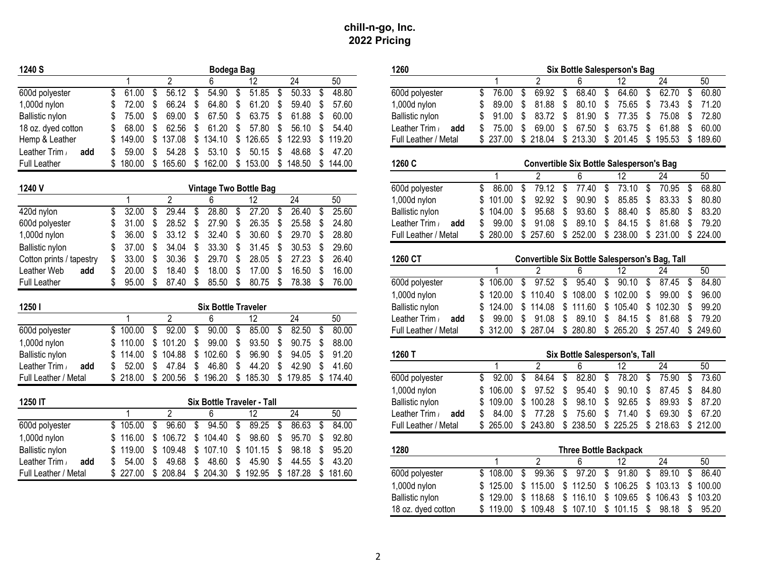| 1240 S                   | Bodega Bag                                                                              | 1260                   | Six Bottle Salesperson's Bag                                                           |
|--------------------------|-----------------------------------------------------------------------------------------|------------------------|----------------------------------------------------------------------------------------|
|                          | 24<br>50<br>2<br>12                                                                     |                        | $\overline{2}$<br>50<br>24<br>12.                                                      |
| 600d polyester           | 56.12<br>54.90<br>51.85<br>50.33<br>48.80<br>61.00<br>\$<br>\$<br>\$<br>\$<br>\$        | 600d polyester         | 69.92<br>64.60<br>62.70<br>60.80<br>76.00<br>68.40<br>\$<br>\$<br>\$<br>\$<br>\$       |
| 1,000d nylon             | 66.24<br>64.80<br>61.20<br>57.60<br>72.00<br>S<br>\$<br>\$<br>59.40                     | $1,000d$ nylon         | 81.88<br>80.10<br>75.65<br>73.43<br>71.20<br>89.00<br>\$<br>S<br>\$                    |
| Ballistic nylon          | 60.00<br>75.00<br>\$<br>69.00<br>\$<br>67.50<br>63.75<br>61.88<br>S<br>-S               | Ballistic nylon        | 72.80<br>91.00<br>83.72<br>81.90<br>Ŝ.<br>77.35<br>\$<br>75.08<br>\$<br>S              |
| 18 oz. dyed cotton       | 68.00<br>62.56<br>61.20<br>57.80<br>56.10<br>54.40<br>S<br>\$<br>S<br>\$.               | Leather Trim /<br>add  | 60.00<br>69.00<br>67.50<br>63.75<br>\$<br>61.88<br>\$<br>75.00<br>S<br>S<br>S.         |
| Hemp & Leather           | 149.00<br>119.20<br>137.08<br>\$<br>134.10<br>S.<br>126.65<br>122.93<br>S<br>- \$<br>S. | Full Leather / Metal   | 237.00 \$ 218.04 \$ 213.30<br>\$201.45<br>\$195.53<br>189.60<br>- \$                   |
| Leather Trim<br>add      | 59.00<br>54.28<br>53.10<br>50.15<br>48.68<br>47.20<br>S<br>\$<br>S<br>S<br>S            |                        |                                                                                        |
| <b>Full Leather</b>      | \$<br>162.00<br>\$<br>153.00<br>\$<br>\$180.00<br>\$165.60<br>148.50<br>\$144.00        | 1260 C                 | <b>Convertible Six Bottle Salesperson's Bag</b>                                        |
|                          |                                                                                         |                        | 12<br>24<br>50<br>$\overline{2}$<br>6                                                  |
| 1240 V                   | <b>Vintage Two Bottle Bag</b>                                                           | 600d polyester         | 79.12<br>77.40<br>\$<br>73.10<br>70.95<br>68.80<br>86.00<br>S<br>S.<br>S<br>-\$<br>\$. |
|                          | 24<br>50<br>$\overline{2}$<br>12<br>6                                                   | 1,000d nylon           | 101.00<br>92.92<br>\$<br>90.90<br>Ŝ.<br>85.85<br>83.33<br>\$<br>80.80<br>S             |
| 420d nylon               | 32.00<br>29.44<br>28.80<br>27.20<br>26.40<br>25.60<br>\$<br>\$<br>\$                    | <b>Ballistic nylon</b> | 95.68<br>93.60<br>88.40<br>85.80<br>\$<br>83.20<br>104.00<br>S                         |
| 600d polyester           | 26.35<br>\$<br>28.52<br>\$<br>27.90<br>\$<br>25.58<br>24.80<br>31.00<br>\$.             | Leather Trim /<br>add  | 91.08<br>89.10<br>\$<br>84.15<br>\$<br>81.68<br>\$<br>79.20<br>99.00<br>S<br>£.        |
| 1,000d nylon             | 33.12<br>32.40<br>30.60<br>29.70<br>28.80<br>36.00<br>S<br>S.<br>\$                     | Full Leather / Metal   | \$252.00<br>\$ 238.00<br>\$231.00<br>-\$<br>224.00<br>280.00<br>\$257.60               |
| Ballistic nylon          | 33.30<br>34.04<br>\$<br>30.53<br>29.60<br>37.00<br>S<br>S<br>31.45<br>- 5               |                        |                                                                                        |
| Cotton prints / tapestry | 29.70<br>27.23<br>26.40<br>33.00<br>\$<br>30.36<br>\$<br>\$<br>28.05<br>-\$<br>ß.       | 1260 CT                | Convertible Six Bottle Salesperson's Bag, Tall                                         |
| Leather Web<br>add       | \$<br>\$<br>18.00<br>16.50<br>16.00<br>20.00<br>18.40<br>\$<br>17.00<br>-S<br>S         |                        | 50<br>$\overline{2}$<br>12<br>24                                                       |
| <b>Full Leather</b>      | 85.50<br>78.38<br>76.00<br>\$<br>95.00<br>\$<br>87.40<br>\$<br>\$<br>80.75<br>- \$<br>S | 600d polyester         | 97.52<br>95.40<br>90.10<br>87.45<br>84.80<br>\$106.00<br>\$<br>\$<br>\$<br>\$<br>\$    |
|                          |                                                                                         | 1,000d nylon           | 99.00<br>96.00<br>\$110.40<br>\$<br>108.00<br>\$<br>102.00<br>\$<br>\$<br>120.00       |
| 1250                     | <b>Six Bottle Traveler</b>                                                              | Ballistic nylon        | \$<br>\$<br>102.30<br>\$<br>99.20<br>124.00<br>\$114.08<br>S.<br>111.60<br>105.40      |
|                          | 24<br>50<br>$\overline{2}$<br>$\overline{12}$<br>6                                      | Leather Trim /<br>add  | 89.10<br>99.00<br>91.08<br>\$<br>\$<br>84.15<br>\$<br>81.68<br>\$<br>79.20<br>\$.      |
| 600d polyester           | 80.00<br>\$100.00<br>92.00<br>90.00<br>\$<br>85.00<br>82.50<br>\$<br>\$<br>\$           | Full Leather / Metal   | \$ 312.00 \$ 287.04 \$ 280.80 \$ 265.20 \$ 257.40 \$ 249.60                            |
| 1,000d nylon             | 99.00<br>88.00<br>101.20<br>93.50<br>90.75<br>\$110.00<br>\$.<br>\$<br>S                |                        |                                                                                        |
| Ballistic nylon          | 104.88<br>102.60<br>96.90<br>94.05<br>91.20<br>\$114.00<br>\$<br>S<br>S<br>S<br>\$.     | 1260 T                 | Six Bottle Salesperson's, Tall                                                         |
| Leather Trim<br>add      | 44.20<br>52.00<br>47.84<br>\$<br>46.80<br>\$<br>42.90<br>41.60<br>\$.<br>\$<br>ደ        |                        | $\overline{2}$<br>$\overline{24}$<br>50<br>$\overline{12}$                             |
| Full Leather / Metal     | \$218.00<br>\$200.56<br>\$196.20<br>\$<br>185.30 \$ 179.85<br>\$174.40                  | 600d polyester         | 73.60<br>84.64<br>82.80<br>78.20<br>75.90<br>\$<br>92.00<br>\$<br>\$<br>\$<br>Ŝ.<br>S  |
|                          |                                                                                         | 1,000d nylon           | 106.00<br>97.52<br>\$<br>95.40<br>Ŝ.<br>90.10<br>\$<br>87.45<br>\$<br>84.80<br>\$.     |
| 1250 IT                  | Six Bottle Traveler - Tall                                                              | Ballistic nylon        | 98.10<br>100.28<br>\$<br>\$<br>92.65<br>\$<br>89.93<br>\$<br>87.20<br>109.00<br>\$     |
|                          | $\overline{2}$<br>12<br>24<br>50<br>6                                                   | Leather Trim<br>add    | 77.28<br>\$<br>69.30<br>67.20<br>84.00<br>\$<br>75.60<br>\$<br>71.40<br>\$<br>\$.      |
| 600d polyester           | 94.50<br>96.60<br>89.25<br>86.63<br>84.00<br>\$105.00<br>\$<br>\$<br>\$<br>S<br>- \$    | Full Leather / Metal   | \$ 265.00 \$ 243.80<br>\$238.50 \$225.25<br>\$218.63 \$212.00                          |
| 1,000d nylon             | 106.72<br>\$104.40<br>98.60<br>92.80<br>£.<br>95.70<br>116.00<br>\$.                    |                        |                                                                                        |
| <b>Ballistic nylon</b>   | \$<br>98.18<br>95.20<br>119.00<br>\$<br>109.48<br>\$107.10<br>101.15<br>-S              | 1280                   | <b>Three Bottle Backpack</b>                                                           |
| Leather Trim<br>add      | 48.60<br>43.20<br>54.00<br>49.68<br>\$<br>S<br>45.90<br>44.55<br>\$.<br>S.              |                        | $\mathcal{P}$<br>24<br>50<br>ĥ<br>12                                                   |
| Full Leather / Metal     | \$208.84<br>\$227.00<br>\$ 204.30<br>$$192.95$ \$<br>187.28<br>\$181.60                 | 600d polyester         | 91.80<br>89.10<br>\$108.00<br>99.36<br>97.20<br>86.40<br>\$<br>\$<br>\$<br>\$<br>S     |
|                          |                                                                                         | $1.000d$ pylon         | © 125.00 © 115.00 © 112.50 © 106.25 © 103.13 © 100.00                                  |

|      | 1260                  |    |          |    |          | Six Bottle Salesperson's Bag                 |          |    |          |      |          |
|------|-----------------------|----|----------|----|----------|----------------------------------------------|----------|----|----------|------|----------|
| 0    |                       |    |          |    |          |                                              |          |    | 24       |      | 50       |
| .880 | 600d polyester        |    | 76.00    | S  | 69.92 \$ | 68.40 \$                                     | 64.60    | S. | 62.70    | \$   | 60.80    |
| 7.60 | 1,000d nylon          | S. | 89.00    | \$ | 81.88 \$ | 80.10 \$                                     | 75.65 \$ |    | 73.43 \$ |      | 71.20    |
| 0.00 | Ballistic nylon       |    |          |    |          | \$ 91.00 \$ 83.72 \$ 81.90 \$ 77.35 \$       |          |    | 75.08 \$ |      | 72.80    |
| 4.40 | Leather Trim /<br>add |    | \$ 75.00 | \$ |          | 69.00 \$ 67.50 \$ 63.75 \$                   |          |    | 61.88    | - \$ | 60.00    |
| 9.20 | Full Leather / Metal  |    |          |    |          | \$237.00 \$218.04 \$213.30 \$201.45 \$195.53 |          |    |          |      | \$189.60 |
| 7.20 |                       |    |          |    |          |                                              |          |    |          |      |          |

| eather    |                      | 180.00 \$ | 165.60 | 162.00 \$ 153.00 |                        |    | \$148.50 \$144.00       | 1260 C                 | <b>Convertible Six Bottle Salesperson's Bag</b> |             |  |            |  |          |  |                                                   |      |                         |  |       |
|-----------|----------------------|-----------|--------|------------------|------------------------|----|-------------------------|------------------------|-------------------------------------------------|-------------|--|------------|--|----------|--|---------------------------------------------------|------|-------------------------|--|-------|
|           |                      |           |        |                  |                        |    |                         |                        |                                                 |             |  |            |  |          |  |                                                   |      | 24                      |  | 50    |
|           |                      |           |        |                  | Vintage Two Bottle Bag |    |                         | 600d polyester         |                                                 | 86.00       |  | 79.12 \$   |  | 77.40 \$ |  | 73.10                                             | - \$ | 70.95                   |  | 68.80 |
|           |                      |           |        |                  |                        | 24 | 50                      | $1,000d$ nylon         |                                                 | \$101.00 \$ |  | 92.92 \$   |  | 90.90 \$ |  | 85.85 \$                                          |      | 83.33 \$ 80.80          |  |       |
| nylon     |                      | 32.00 \$  | 29.44  | 28.80 \$         | 27.20 \$               |    | 26.40 \$ 25.60          | <b>Ballistic nylon</b> |                                                 | \$104.00 \$ |  | $95.68$ \$ |  | 93.60 \$ |  | 88.40 \$                                          |      | 85.80 \$ 83.20          |  |       |
| polyester | \$ 31.00 \$          |           | 28.52  | $27.90$ \$       | 26.35 \$               |    | 25.58 \$ 24.80          | Leather Trim /<br>add  |                                                 | 99.00       |  | 91.08 \$   |  | 89.10 \$ |  |                                                   |      | 84.15 \$ 81.68 \$ 79.20 |  |       |
| d nylon   | \$ 36.00 \$ 33.12 \$ |           |        | 32.40 \$         |                        |    | 30.60 \$ 29.70 \$ 28.80 | Full Leather / Metal   |                                                 | ົ 280.00    |  |            |  |          |  | \$ 257.60 \$ 252.00 \$ 238.00 \$ 231.00 \$ 224.00 |      |                         |  |       |
|           |                      |           |        |                  |                        |    |                         |                        |                                                 |             |  |            |  |          |  |                                                   |      |                         |  |       |

| n prints / tapestry | 33.00 \$ |          | 30.36 \$ 29.70 \$          |          | 28.05 \$ 27.23 \$ | 26.40 | 1260 CT                |                                                             |          |  |  | <b>Convertible Six Bottle Salesperson's Bag, Tall</b> |    |
|---------------------|----------|----------|----------------------------|----------|-------------------|-------|------------------------|-------------------------------------------------------------|----------|--|--|-------------------------------------------------------|----|
| er Web<br>add       | 20.00    | 18.40 \$ | $18.00 \text{ }$ \$        | 17.00 \$ | 16.50 \$          | 16.00 |                        |                                                             |          |  |  | 24                                                    | 50 |
| eather              | 95.00 \$ | 87.40 \$ | 85.50 \$                   | 80.75    | 78.38 \$          | 76.00 | 600d polyester         | \$106.00 \$                                                 | 97.52 \$ |  |  | 95.40 \$ 90.10 \$ 87.45 \$ 84.80                      |    |
|                     |          |          |                            |          |                   |       | 1,000d nylon           | \$120.00 \$110.40 \$108.00 \$102.00 \$99.00 \$96.00         |          |  |  |                                                       |    |
|                     |          |          | <b>Six Bottle Traveler</b> |          |                   |       | <b>Ballistic nylon</b> | \$124.00 \$114.08 \$111.60 \$105.40 \$102.30 \$99.20        |          |  |  |                                                       |    |
|                     |          |          |                            |          | 24                | 50    | Leather Trim<br>add    |                                                             |          |  |  | 99.00 \$ 91.08 \$ 89.10 \$ 84.15 \$ 81.68 \$ 79.20    |    |
| polyester           | \$100.00 | 92.00    | $90.00$ \$                 | 85.00 \$ | 82.50 \$          | 80.00 | Full Leather / Metal   | \$ 312.00 \$ 287.04 \$ 280.80 \$ 265.20 \$ 257.40 \$ 249.60 |          |  |  |                                                       |    |

| c nylon         |             |          | \$114.00 \$104.88 \$102.60 \$96.90 \$94.05 \$91.20    |          |          |                | 1260 T                 |                      |  |  | Six Bottle Salesperson's, Tall                              |          |       |
|-----------------|-------------|----------|-------------------------------------------------------|----------|----------|----------------|------------------------|----------------------|--|--|-------------------------------------------------------------|----------|-------|
| ، Trim ا<br>add | \$ 52.00 \$ |          | 47.84 \$ 46.80 \$                                     | 44.20 \$ |          | 42.90 \$ 41.60 |                        |                      |  |  |                                                             | 24       | 50    |
| eather / Metal  |             |          | \$218.00 \$200.56 \$196.20 \$185.30 \$179.85 \$174.40 |          |          |                | 600d polyester         | \$ 92.00 \$ 84.64 \$ |  |  | 82.80 \$ 78.20 \$                                           | 75.90 \$ | 73.60 |
|                 |             |          |                                                       |          |          |                | $1,000d$ nylon         |                      |  |  | \$106.00 \$97.52 \$95.40 \$90.10 \$87.45 \$84.80            |          |       |
|                 |             |          | <b>Six Bottle Traveler - Tall</b>                     |          |          |                | Ballistic nylon        |                      |  |  | \$109.00 \$100.28 \$98.10 \$92.65 \$89.93 \$87.20           |          |       |
|                 |             |          |                                                       |          | 24       | 50             | Leather $Tim /$<br>add |                      |  |  | \$ 84.00 \$ 77.28 \$ 75.60 \$ 71.40 \$ 69.30 \$ 67.20       |          |       |
| bolyester       | \$105.00    | 96.60 \$ | 94.50 \$                                              | 89.25    | 86.63 \$ | 84.00          | Full Leather / Metal   |                      |  |  | $$265.00$ $$243.80$ $$238.50$ $$225.25$ $$218.63$ $$212.00$ |          |       |

|          |          | \$119.00 \$109.48 \$107.10 \$101.15 \$98.18 \$95.20   |  |                   |       | 1280               |                                                       |       | <b>Three Bottle Backpack</b> |  |                                  |    |
|----------|----------|-------------------------------------------------------|--|-------------------|-------|--------------------|-------------------------------------------------------|-------|------------------------------|--|----------------------------------|----|
| 54.00 \$ | 49.68 \$ | 48.60 \$                                              |  | 45.90 \$ 44.55 \$ | 43.20 |                    |                                                       |       |                              |  | 24                               | 50 |
|          |          | \$227.00 \$208.84 \$204.30 \$192.95 \$187.28 \$181.60 |  |                   |       | 600d polyester     | \$108.00                                              | 99.36 |                              |  | 97.20 \$ 91.80 \$ 89.10 \$ 86.40 |    |
|          |          |                                                       |  |                   |       | 1,000d nylon       | \$125.00 \$115.00 \$112.50 \$106.25 \$103.13 \$100.00 |       |                              |  |                                  |    |
|          |          |                                                       |  |                   |       | Ballistic nylon    | \$129.00 \$118.68 \$116.10 \$109.65 \$106.43 \$103.20 |       |                              |  |                                  |    |
|          |          |                                                       |  |                   |       | 18 oz. dyed cotton | \$119.00 \$109.48 \$107.10 \$101.15 \$98.18 \$95.20   |       |                              |  |                                  |    |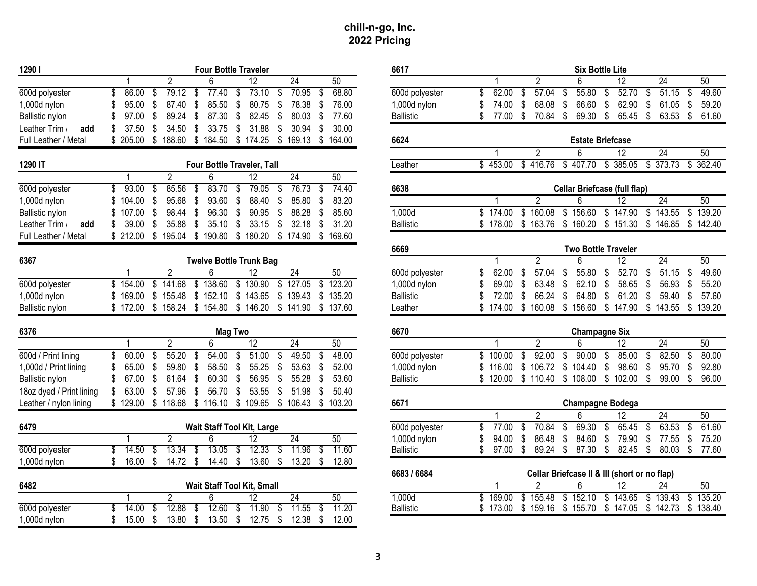| 12901                    | <b>Four Bottle Traveler</b>                                                              | 6617             | <b>Six Bottle Lite</b>                                                                    |
|--------------------------|------------------------------------------------------------------------------------------|------------------|-------------------------------------------------------------------------------------------|
|                          | $\overline{2}$<br>$\overline{12}$<br>$\overline{24}$<br>50<br>6                          |                  | $\overline{2}$<br>$\overline{12}$<br>$\overline{24}$<br>50                                |
| 600d polyester           | 79.12<br>77.40<br>73.10<br>70.95<br>68.80<br>\$<br>86.00<br>\$<br>\$<br>\$<br>\$<br>\$   | 600d polyester   | 62.00<br>57.04<br>55.80<br>52.70<br>51.15<br>49.60<br>\$<br>\$<br>\$<br>\$<br>\$<br>\$    |
| 1,000d nylon             | 78.38<br>87.40<br>\$<br>85.50<br>\$<br>80.75<br>\$<br>76.00<br>95.00<br>S<br>S           | $1,000d$ nylon   | 74.00<br>68.08<br>66.60<br>\$<br>62.90<br>\$<br>61.05<br>\$<br>59.20<br>S<br>\$<br>S.     |
| Ballistic nylon          | 77.60<br>89.24<br>\$<br>87.30<br>\$<br>82.45<br>\$<br>80.03<br>97.00<br>S<br>\$          | <b>Ballistic</b> | 77.00<br>- \$<br>70.84<br>69.30<br>\$<br>65.45<br>\$<br>63.53<br>-\$<br>61.60<br>\$<br>\$ |
| Leather Trim<br>add      | 34.50<br>\$<br>33.75<br>\$<br>31.88<br>\$<br>30.94<br>30.00<br>37.50<br>ß.               |                  |                                                                                           |
| Full Leather / Metal     | \$188.60 \$184.50 \$174.25 \$<br>\$205.00<br>169.13 \$ 164.00                            | 6624             | <b>Estate Briefcase</b>                                                                   |
|                          |                                                                                          |                  | $\overline{2}$<br>$\overline{12}$<br>$\overline{24}$<br>50<br>6                           |
| 1290 IT                  | Four Bottle Traveler, Tall                                                               | Leather          | \$373.73<br>362.40<br>\$453.00<br>\$416.76<br>\$407.70<br>\$385.05<br>\$                  |
|                          | 24<br>$\overline{2}$<br>6<br>12<br>50                                                    |                  |                                                                                           |
| 600d polyester           | 93.00<br>85.56<br>83.70<br>\$<br>79.05<br>76.73<br>74.40<br>\$<br>\$<br>\$<br>S<br>\$    | 6638             | <b>Cellar Briefcase (full flap)</b>                                                       |
| 1,000d nylon             | 95.68<br>\$<br>93.60<br>\$<br>88.40<br>85.80<br>83.20<br>104.00<br>\$<br>\$<br>\$<br>S   |                  | $\overline{2}$<br>$\overline{24}$<br>6<br>12<br>50                                        |
| <b>Ballistic nylon</b>   | 88.28<br>85.60<br>98.44<br>\$<br>96.30<br>\$<br>90.95<br>\$<br>\$<br>107.00<br>S<br>S    | 1,000d           | \$160.08<br>\$174.00<br>\$156.60<br>\$147.90<br>\$143.55<br>139.20<br>\$                  |
| Leather Trim<br>add      | 35.88<br>\$<br>35.10<br>\$<br>33.15<br>\$<br>31.20<br>39.00<br>\$<br>32.18<br>\$.<br>S   | <b>Ballistic</b> | \$160.20<br>\$151.30<br>\$146.85<br>\$178.00<br>\$163.76<br>\$142.40                      |
| Full Leather / Metal     | \$190.80 \$180.20 \$174.90 \$169.60<br>\$212.00<br>\$195.04                              |                  |                                                                                           |
|                          |                                                                                          | 6669             | <b>Two Bottle Traveler</b>                                                                |
| 6367                     | <b>Twelve Bottle Trunk Bag</b>                                                           |                  | $\overline{2}$<br>24<br>50<br>$\overline{12}$                                             |
|                          | $\overline{2}$<br>$\overline{24}$<br>50<br>6<br>12                                       | 600d polyester   | 62.00<br>57.04<br>55.80<br>52.70<br>51.15<br>49.60<br>\$<br>\$<br>\$<br>\$<br>\$<br>-\$   |
| 600d polyester           | \$141.68<br>\$138.60<br>\$130.90<br>127.05<br>123.20<br>\$154.00<br>\$<br>\$             | 1,000d nylon     | 62.10<br>69.00<br>63.48<br>\$<br>58.65<br>\$<br>56.93<br>\$<br>55.20<br>S<br>S.           |
| 1,000d nylon             | \$135.20<br>\$169.00<br>\$155.48<br>\$152.10<br>\$143.65<br>\$139.43                     | <b>Ballistic</b> | 72.00<br>66.24<br>64.80<br>\$<br>61.20<br>\$<br>59.40<br>57.60<br>S<br>S                  |
| Ballistic nylon          | \$172.00<br>\$158.24<br>\$154.80 \$146.20 \$141.90 \$137.60                              | Leather          | 174.00<br>\$160.08<br>\$156.60<br>\$147.90<br>\$143.55<br>\$139.20                        |
| 6376                     | <b>Mag Two</b>                                                                           | 6670             | <b>Champagne Six</b>                                                                      |
|                          | $\overline{2}$<br>6<br>$\overline{12}$<br>24<br>50                                       |                  | $\overline{2}$<br>24<br>50<br>$\overline{12}$<br>հ                                        |
| 600d / Print lining      | 48.00<br>60.00<br>55.20<br>54.00<br>51.00<br>49.50<br>\$<br>\$<br>\$<br>\$<br>\$<br>\$   | 600d polyester   | 82.50<br>100.00<br>92.00<br>90.00<br>\$<br>85.00<br>\$<br>80.00<br>\$<br>\$<br>\$<br>\$   |
| 1,000d / Print lining    | 52.00<br>\$<br>65.00<br>S<br>59.80<br>\$<br>58.50<br>\$<br>55.25<br>\$<br>53.63<br>S     | 1,000d nylon     | 98.60<br>116.00<br>\$106.72<br>\$104.40<br>\$<br>\$<br>95.70<br>\$<br>92.80<br>\$         |
| Ballistic nylon          | \$<br>60.30<br>56.95<br>53.60<br>67.00<br>S<br>61.64<br>\$<br>\$<br>55.28<br>\$<br>S     | <b>Ballistic</b> | \$108.00 \$102.00<br>\$<br>99.00<br>\$<br>96.00<br>\$120.00 \$110.40                      |
| 18oz dyed / Print lining | 56.70<br>53.55<br>50.40<br>63.00<br>57.96<br>\$<br>\$<br>\$<br>51.98<br>S<br>ß.          |                  |                                                                                           |
| Leather / nylon lining   | \$118.68 \$116.10 \$109.65 \$106.43 \$103.20<br>\$129.00                                 | 6671             | <b>Champagne Bodega</b>                                                                   |
|                          |                                                                                          |                  | $\overline{2}$<br>24<br>50<br>$\overline{12}$<br>ĥ                                        |
| 6479                     | <b>Wait Staff Tool Kit, Large</b>                                                        | 600d polyester   | 70.84<br>63.53<br>61.60<br>77.00<br>69.30<br>65.45<br>\$<br>\$<br>\$<br>\$<br>\$<br>\$.   |
|                          | $\overline{2}$<br>$\overline{24}$<br>50<br>6<br>12<br>$\overline{1}$                     | 1,000d nylon     | 86.48<br>79.90<br>\$<br>94.00<br>\$<br>84.60<br>\$<br>77.55<br>\$<br>75.20                |
| 600d polyester           | 14.50<br>13.34<br>13.05<br>12.33<br>11.60<br>\$<br>11.96<br>\$<br>S<br>S.<br>\$<br>S     | <b>Ballistic</b> | 89.24<br>\$<br>87.30<br>\$<br>82.45<br>\$<br>80.03<br>77.60<br>\$<br>97.00<br>\$<br>- \$  |
| 1,000d nylon             | \$<br>\$<br>\$<br>\$<br>16.00<br>14.72<br>14.40<br>13.60<br>13.20<br>12.80<br>\$.<br>\$. |                  |                                                                                           |
|                          |                                                                                          | 6683 / 6684      | Cellar Briefcase II & III (short or no flap)                                              |
| 6482                     | Wait Staff Tool Kit, Small                                                               |                  | 50<br>$\overline{c}$<br>$\overline{12}$<br>$\overline{24}$<br>6                           |
|                          | $\overline{2}$<br>$\overline{24}$<br>6<br>12<br>50                                       | 1,000d           | 143.65<br>\$139.43<br>169.00<br>155.48<br>\$152.10<br>\$<br>135.20<br>\$<br>\$<br>\$      |
| 600d polyester           | 12.88<br>12.60<br>11.20<br>14.00<br>11.90<br>11.55<br>\$<br>-\$<br>S                     | <b>Ballistic</b> | \$173.00<br>\$159.16<br>\$155.70<br>\$147.05<br>\$142.73<br>\$138.40                      |
| 1,000d nylon             | $12.75$ \$<br>$12.38$ \$<br>12.00<br>\$<br>15.00<br>- \$<br>$13.80$ \$<br>$13.50$ \$     |                  |                                                                                           |
|                          |                                                                                          |                  |                                                                                           |

| 01                            |              |                     |                                  | <b>Four Bottle Traveler</b>    |                 |                   | 6617             |     |                   |                |             |                   | <b>Six Bottle Lite</b>                       |     |                   |                 |       |
|-------------------------------|--------------|---------------------|----------------------------------|--------------------------------|-----------------|-------------------|------------------|-----|-------------------|----------------|-------------|-------------------|----------------------------------------------|-----|-------------------|-----------------|-------|
|                               |              | $\mathfrak{p}$      | 6                                | 12                             | 24              | 50                |                  |     |                   | $\mathfrak{p}$ |             |                   | 12                                           |     | 24                | 50              |       |
| d polyester                   | 86.00<br>S   | 79.12<br>\$         | $\overline{\mathbf{s}}$<br>77.40 | 73.10<br>\$                    | \$<br>70.95     | 68.80<br>\$       | 600d polyester   | \$. | 62.00             | - \$           | 57.04<br>\$ | 55.80             | 52.70<br>\$                                  | \$  | $51.15$ \$        |                 | 49.60 |
| 0d nylon                      | 95.00        | \$<br>87.40         | -\$<br>85.50                     | \$<br>80.75                    | -\$<br>78.38    | \$<br>76.00       | $1,000d$ nylon   |     | 74.00             | \$             | 68.08<br>S. | 66.60             | 62.90<br>\$                                  | \$  | 61.05             | - \$            | 59.20 |
| istic nylon                   | 97.00        | S<br>89.24          | 87.30<br>\$                      | \$<br>82.45                    | \$<br>80.03     | 77.60<br>\$       | <b>Ballistic</b> |     | 77.00             | \$<br>70.84    | \$          | 69.30             | \$<br>65.45                                  | \$  | 63.53             | \$              | 61.60 |
| ther Trim /<br>add            | 37.50        | \$<br>34.50         | \$<br>33.75                      | \$<br>31.88                    | \$<br>30.94     | 30.00<br>\$       |                  |     |                   |                |             |                   |                                              |     |                   |                 |       |
| Leather / Metal               | \$205.00     | \$<br>188.60        | \$184.50                         | \$<br>174.25                   | 169.13<br>\$    | \$<br>164.00      | 6624             |     |                   |                |             |                   | <b>Estate Briefcase</b>                      |     |                   |                 |       |
|                               |              |                     |                                  |                                |                 |                   |                  |     |                   | $\overline{2}$ |             | 6                 | 12                                           |     | $\overline{24}$   | $\overline{50}$ |       |
| 0 IT                          |              |                     |                                  | Four Bottle Traveler, Tall     |                 |                   | Leather          |     | \$453.00          | \$416.76       |             | \$407.70          | \$385.05                                     |     | \$373.73          | \$362.40        |       |
|                               | $\mathbf{1}$ | $\overline{2}$      | 6                                | $\overline{12}$                | 24              | 50                |                  |     |                   |                |             |                   |                                              |     |                   |                 |       |
| d polyester                   | 93.00<br>\$  | 85.56<br>\$         | 83.70<br>-\$                     | 79.05<br>\$                    | 76.73<br>\$     | 74.40<br>\$       | 6638             |     |                   |                |             |                   | <b>Cellar Briefcase (full flap)</b>          |     |                   |                 |       |
| 0d nylon                      | \$104.00     | \$<br>95.68         | 93.60<br>\$                      | \$<br>88.40                    | 85.80<br>\$     | 83.20<br>\$       |                  |     |                   | $\overline{2}$ |             | 6                 | 12                                           |     | 24                | 50              |       |
| istic nylon                   | 107.00       | S<br>98.44          | 96.30<br>\$                      | \$<br>90.95                    | 88.28<br>\$     | 85.60<br>\$       | 1,000d           |     | \$174.00          | 160.08<br>\$   |             | \$156.60          | \$147.90                                     |     | \$143.55          | 139.20<br>\$    |       |
| ther Trim /<br>add            | 39.00        | \$<br>35.88         | \$<br>35.10                      | \$<br>33.15                    | 32.18<br>\$     | 31.20<br>\$       | <b>Ballistic</b> |     | \$178.00          | \$163.76       |             | \$160.20          | \$151.30                                     |     | \$146.85          | \$142.40        |       |
| Leather / Metal               | \$212.00     | \$<br>195.04        | \$<br>190.80                     | \$<br>180.20                   | \$174.90        | 169.60<br>-\$     |                  |     |                   |                |             |                   |                                              |     |                   |                 |       |
|                               |              |                     |                                  |                                |                 |                   | 6669             |     |                   |                |             |                   | <b>Two Bottle Traveler</b>                   |     |                   |                 |       |
| 7                             |              |                     |                                  | <b>Twelve Bottle Trunk Bag</b> |                 |                   |                  |     |                   | $\overline{2}$ |             | 6                 | $\overline{12}$                              |     | $\overline{24}$   | 50              |       |
|                               |              | $\overline{2}$      | 6                                | 12                             | $\overline{24}$ | 50                | 600d polyester   | \$  | 62.00             | \$             | 57.04<br>\$ | 55.80             | 52.70<br>\$                                  | \$  | 51.15             | -\$             | 49.60 |
| d polyester                   | \$154.00     |                     | $$141.68$ $$138.60$              | \$130.90                       | \$127.05        | \$123.20          | 1,000d nylon     |     | 69.00             | 63.48<br>S     | S           | 62.10             | 58.65<br>\$                                  | S   | 56.93             | -S              | 55.20 |
| 00d nylon                     | \$169.00     |                     | $$155.48$ $$152.10$              | \$143.65                       | \$139.43        | \$135.20          | <b>Ballistic</b> |     | 72.00             | S              | 66.24<br>\$ | 64.80             | \$<br>61.20                                  | \$  | 59.40             | S               | 57.60 |
| istic nylon                   | \$172.00     |                     | \$158.24 \$154.80 \$146.20       |                                |                 | \$141.90 \$137.60 | Leather          |     | \$174.00          | \$160.08       |             |                   | \$156.60 \$147.90                            |     | \$143.55          | \$139.20        |       |
| 6                             |              |                     |                                  | <b>Mag Two</b>                 |                 |                   | 6670             |     |                   |                |             |                   | <b>Champagne Six</b>                         |     |                   |                 |       |
|                               | 1            | $\mathfrak{p}$      | 6                                | 12                             | 24              | 50                |                  |     |                   | $\overline{2}$ |             |                   | 12                                           |     | 24                | 50              |       |
| $\overline{d}$ / Print lining | \$<br>60.00  | 55.20<br>\$         | 54.00<br>\$                      | 51.00<br>\$                    | 49.50<br>\$     | 48.00<br>S        | 600d polyester   |     | \$100.00          | S              | 92.00<br>\$ | 90.00             | 85.00<br>\$                                  | \$  | 82.50             | \$              | 80.00 |
| 00d / Print lining            | 65.00        | \$<br>59.80         | \$<br>58.50                      | 55.25<br>\$                    | 53.63<br>S.     | 52.00<br>S        | 1,000d nylon     |     | \$116.00          | \$106.72       |             | \$104.40          | \$<br>98.60                                  | \$  | 95.70             | - \$            | 92.80 |
| istic nylon                   | 67.00        | \$<br>61.64         | 60.30<br>-\$                     | \$<br>56.95                    | \$<br>55.28     | 53.60<br>S        | <b>Ballistic</b> |     | \$120.00 \$110.40 |                |             |                   | \$108.00 \$102.00                            | -\$ | 99.00             | -\$             | 96.00 |
| z dyed / Print lining         | 63.00        | 57.96<br>\$.        | \$<br>56.70                      | \$<br>53.55                    | \$<br>51.98     | \$.<br>50.40      |                  |     |                   |                |             |                   |                                              |     |                   |                 |       |
| ther / nylon lining           | \$129.00     | \$118.68            | \$116.10                         | \$109.65                       | \$106.43        | \$103.20          | 6671             |     |                   |                |             |                   | <b>Champagne Bodega</b>                      |     |                   |                 |       |
|                               |              |                     |                                  |                                |                 |                   |                  |     |                   | $\overline{2}$ |             | 6                 | 12                                           |     | 24                | 50              |       |
| 9                             |              |                     |                                  | Wait Staff Tool Kit, Large     |                 |                   | 600d polyester   | \$  | 77.00             | \$             | 70.84<br>\$ | 69.30             | 65.45<br>\$                                  | \$  | 63.53             | \$              | 61.60 |
|                               | $\mathbf{1}$ | $\overline{2}$      | 6                                | 12                             | $\overline{24}$ | 50                | 1,000d nylon     |     | 94.00             | \$             | 86.48<br>\$ | 84.60             | \$<br>79.90                                  | \$  | 77.55             | -\$             | 75.20 |
| d polyester                   | 14.50<br>\$  | 13.34<br>S          | 13.05<br>\$                      | 12.33<br>S                     | 11.96<br>S      | 11.60<br>S        | <b>Ballistic</b> | \$  | 97.00             | -\$            |             | 89.24 \$ 87.30 \$ | 82.45 \$                                     |     | 80.03 \$          |                 | 77.60 |
| 0d nylon                      | \$<br>16.00  | $14.72$ \$<br>- \$  | $14.40$ \$                       | 13.60 \$                       | 13.20           | 12.80<br>- \$     |                  |     |                   |                |             |                   |                                              |     |                   |                 |       |
|                               |              |                     |                                  |                                |                 |                   | 6683 / 6684      |     |                   |                |             |                   | Cellar Briefcase II & III (short or no flap) |     |                   |                 |       |
| 2                             |              |                     |                                  | Wait Staff Tool Kit, Small     |                 |                   |                  |     |                   | 2              |             | 6                 | $\overline{12}$                              |     | 24                | 50              |       |
|                               | $\mathbf{1}$ | $\overline{2}$      | 6                                | 12                             | $\overline{24}$ | 50                | 1,000d           |     | \$169.00          | \$155.48       |             | \$152.10          | \$143.65                                     |     | $\sqrt{$}$ 139.43 | 135.20<br>\$    |       |
| d polyester                   | 14.00<br>\$  | 12.88<br>\$         | 12.60<br>\$                      | 11.90<br>\$                    | 11.55<br>\$     | 11.20<br>\$       | <b>Ballistic</b> |     | \$173.00          | \$159.16       |             | \$155.70          | \$147.05                                     |     | \$142.73          | \$138.40        |       |
| 00d nylon                     | \$<br>15.00  | 13.80<br>$^{\circ}$ | $\mathbb{S}$<br>13.50            | \$ 12.75                       | 12.38<br>- \$   | - \$<br>12.00     |                  |     |                   |                |             |                   |                                              |     |                   |                 |       |
|                               |              |                     |                                  |                                |                 |                   |                  |     |                   |                |             |                   |                                              |     |                   |                 |       |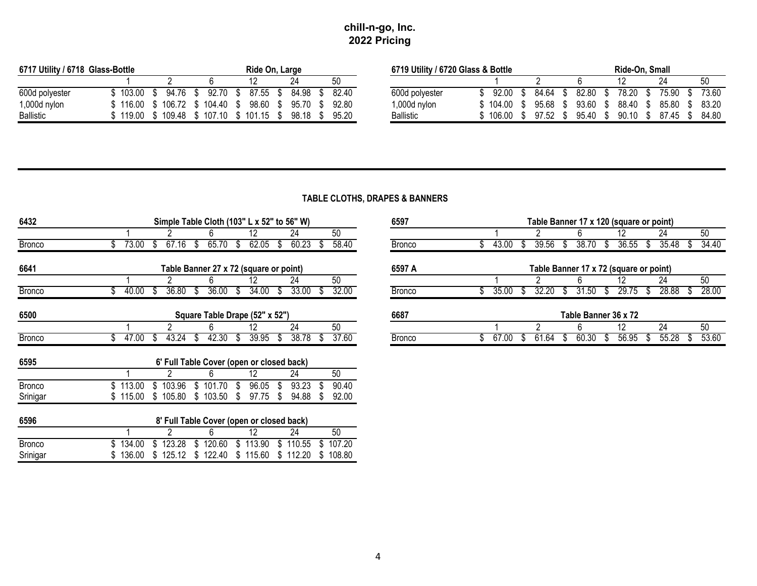| 6717 Utility / 6718 Glass-Bottle |        |        |        | Ride On, Large |       |       | 6719 Utility / 6720 Glass & Bottle |        |       |       | Ride-On. Small |       |       |
|----------------------------------|--------|--------|--------|----------------|-------|-------|------------------------------------|--------|-------|-------|----------------|-------|-------|
|                                  |        |        |        |                | 24    | 50    |                                    |        |       |       |                | 24    | 50    |
| 600d polyester                   | 103.00 | 94.76  | 92.70  | 87.55          | 84.98 | 82.40 | 600d polyester                     | 92.00  | 84.64 | 82.80 | 78.20          | 75.90 | 73.60 |
| 1,000d nylon                     | 116.00 | 106.72 | 104.40 | 98.60          | 95.70 | 92.80 | 1,000d nylon                       | 104.00 | 95.68 | 93.60 | 88.40          | 85.80 | 83.20 |
| <b>Ballistic</b>                 | 119.00 | 109.48 | 107.10 | 101.15         | 98.18 | 95.20 | <b>Ballistic</b>                   | 106.00 | 97.52 | 95.40 | 90.10          | 87.45 | 84.80 |

# **TABLE CLOTHS, DRAPES & BANNERS**

| 6432          |          |            | Simple Table Cloth (103" L x 52" to 56" W) |             | 6597              |    |          |               |    |       |   | Table Banner 17 x 120 (square or point) |                      |   |                                        |       |   |       |
|---------------|----------|------------|--------------------------------------------|-------------|-------------------|----|----------|---------------|----|-------|---|-----------------------------------------|----------------------|---|----------------------------------------|-------|---|-------|
|               |          |            | 6                                          | 12          | 24                |    | 50       |               |    |       |   |                                         | 6.                   |   | 12                                     | 24    |   | 50    |
| <b>Bronco</b> | 73.00    | 67.16      | 65.70                                      | 62.05       | 60.23             |    | 58.40    | <b>Bronco</b> |    | 43.00 |   | 39.56                                   | 38.70                |   | 36.55                                  | 35.48 |   | 34.40 |
| 6641          |          |            | Table Banner 27 x 72 (square or point)     |             |                   |    |          | 6597 A        |    |       |   |                                         |                      |   | Table Banner 17 x 72 (square or point) |       |   |       |
|               |          |            | 6                                          | 12          | 24                |    | 50       |               |    |       |   |                                         | 6.                   |   | 12                                     | 24    |   | 50    |
| <b>Bronco</b> | 40.00    | 36.80      | 36.00                                      | 34.00       | 33.00             |    | 32.00    | <b>Bronco</b> |    | 35.00 |   | 32.20                                   | 31.50                |   | 29.75                                  | 28.88 | S | 28.00 |
| 6500          |          |            | Square Table Drape (52" x 52")             |             |                   |    |          | 6687          |    |       |   |                                         | Table Banner 36 x 72 |   |                                        |       |   |       |
|               |          |            | 6                                          | 12          | 24                |    | 50       |               |    |       |   |                                         | 6.                   |   | 12                                     | 24    |   | 50    |
| <b>Bronco</b> | 47.00    | 43.24<br>৬ | 42.30<br>ď                                 | 39.95<br>S. | 38.78<br>ა        | S. | 37.60    | <b>Bronco</b> | æ, | 67.00 | J | 61.64                                   | 60.30<br>ა           | Œ | 56.95<br>J.                            | 55.28 | S | 53.60 |
| 6595          |          |            | 6' Full Table Cover (open or closed back)  |             |                   |    |          |               |    |       |   |                                         |                      |   |                                        |       |   |       |
|               |          |            | 6                                          | 12          | 24                |    | 50       |               |    |       |   |                                         |                      |   |                                        |       |   |       |
| <b>Bronco</b> | 113.00   | 103.96     | 101.70                                     | 96.05       | 93.23             |    | 90.40    |               |    |       |   |                                         |                      |   |                                        |       |   |       |
| Srinigar      | \$115.00 | \$105.80   | \$103.50                                   | 97.75<br>-S | 94.88<br>S.       |    | 92.00    |               |    |       |   |                                         |                      |   |                                        |       |   |       |
| 6596          |          |            | 8' Full Table Cover (open or closed back)  |             |                   |    |          |               |    |       |   |                                         |                      |   |                                        |       |   |       |
|               |          |            | 6                                          | 12          | 24                |    | 50       |               |    |       |   |                                         |                      |   |                                        |       |   |       |
| <b>Bronco</b> | 134.00   | 123.28     | 120.60                                     | 113.90      | \$110.55          |    | 107.20   |               |    |       |   |                                         |                      |   |                                        |       |   |       |
| Srinigar      | 136.00   | \$125.12   | \$122.40                                   |             | \$115.60 \$112.20 |    | \$108.80 |               |    |       |   |                                         |                      |   |                                        |       |   |       |

|       | Simple Table Cloth $(103" L x 52"$ to 56" W) |                                        |       |       |       | 6597          |       |       |       | Table Banner 17 x 120 (square or point) |       |       |  |
|-------|----------------------------------------------|----------------------------------------|-------|-------|-------|---------------|-------|-------|-------|-----------------------------------------|-------|-------|--|
|       |                                              |                                        |       | 24    | 50    |               |       |       |       |                                         | 24    | 50    |  |
| 73.00 | ٥ſ.                                          | 65.70                                  | 62.05 | 60.23 | 58.40 | <b>Bronco</b> | 43.00 | 39.56 | 38.70 | 36.55                                   | 35.48 | 34.40 |  |
|       |                                              |                                        |       |       |       |               |       |       |       |                                         |       |       |  |
|       |                                              | Table Banner 27 x 72 (square or point) |       |       |       | 6597 A        |       |       |       | Table Banner 17 x 72 (square or point)  |       |       |  |
|       |                                              |                                        |       | 24    | 50    |               |       |       |       |                                         | 24    | 50    |  |
| 40.00 | 36.80                                        | 36.00                                  | 34.00 | 33.00 | 32.00 | <b>Bronco</b> | 35.00 |       | .50   | 29.75                                   | 28.88 | 28.00 |  |
|       |                                              |                                        |       |       |       |               |       |       |       |                                         |       |       |  |
|       |                                              | Square Table Drape (52" x 52")         |       |       |       | 6687          |       |       |       | Table Banner 36 x 72                    |       |       |  |
|       |                                              |                                        |       | 24    | 50    |               |       |       |       | 12                                      | 24    | 50    |  |
| 47.00 | 43.24                                        | 42.30                                  | 39.95 | 38.78 | 37.60 | <b>Bronco</b> | 67.UU | b1.b4 | 60.30 | 56.95<br>Œ                              | 55.28 | 53.60 |  |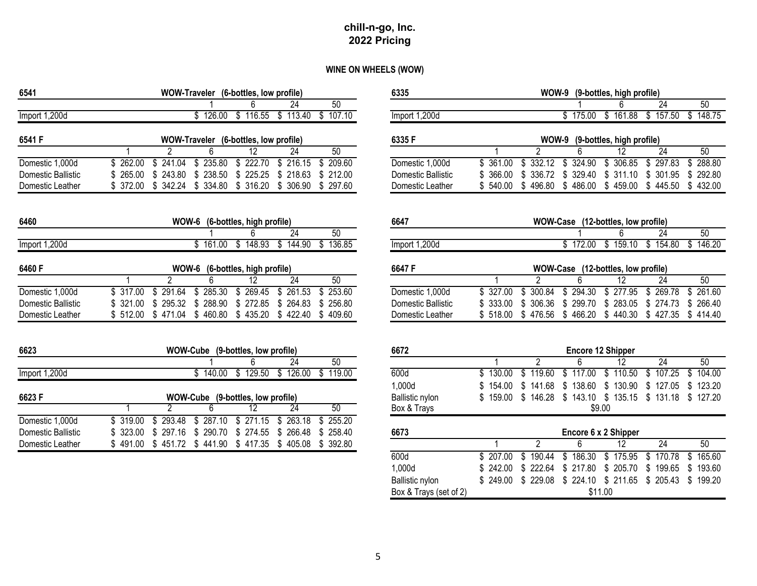# **WINE ON WHEELS (WOW)**

| 6541               | WOW-Traveler (6-bottles, low profile)                                           | 6335                   | WOW-9 (9-bottles, high profile)                                                    |
|--------------------|---------------------------------------------------------------------------------|------------------------|------------------------------------------------------------------------------------|
|                    | 24<br>50                                                                        |                        | 24<br>50<br>6                                                                      |
| Import 1,200d      | \$126.00 \$116.55<br>$$113.40$ $$107.10$                                        | Import 1,200d          | $$157.50$ $$148.75$<br>\$161.88<br>\$175.00                                        |
| 6541 F             | WOW-Traveler (6-bottles, low profile)                                           | 6335F                  | WOW-9<br>(9-bottles, high profile)                                                 |
|                    | 12<br>24<br>50<br>2<br>6                                                        |                        | $\mathfrak{p}$<br>24<br>50<br>12                                                   |
| Domestic 1,000d    | \$262.00<br>241.04<br>\$235.80<br>\$222.70<br>\$216.15<br>\$ 209.60<br>S.       | Domestic 1,000d        | \$332.12<br>324.90<br>\$ 306.85<br>\$297.83<br>288.80<br>\$361.00<br>S.<br>S.      |
| Domestic Ballistic | \$<br>243.80<br>\$238.50<br>225.25<br>\$218.63<br>265.00<br>\$<br>\$212.00      | Domestic Ballistic     | 329.40<br>\$<br>311.10<br>\$ 301.95<br>292.80<br>366.00<br>S<br>336.72<br>\$<br>S. |
| Domestic Leather   | \$372.00<br>\$342.24<br>\$334.80<br>\$316.20<br>\$ 306.90<br>\$ 297.60          | Domestic Leather       | \$496.80<br>\$486.00<br>\$432.00<br>540.00<br>\$459.00<br>\$445.50                 |
| 6460               | WOW-6 (6-bottles, high profile)                                                 | 6647                   | WOW-Case (12-bottles, low profile)                                                 |
|                    | 24<br>50                                                                        |                        | 50<br>24<br>6                                                                      |
| Import 1,200d      | \$161.00 \$148.93<br>\$136.85<br>\$144.90                                       | Import 1,200d          | $$154.80$ $$146.20$<br>$$172.00$ $$159.10$                                         |
| 6460 F             | WOW-6 (6-bottles, high profile)                                                 | 6647 F                 | WOW-Case (12-bottles, low profile)                                                 |
|                    | 50<br>2<br>$\overline{24}$<br>12                                                |                        | $\overline{2}$<br>12<br>24<br>50                                                   |
| Domestic 1,000d    | \$261.53<br>291.64<br>\$285.30<br>\$269.45<br>\$317.00<br>S.<br>\$ 253.60       | Domestic 1,000d        | \$300.84<br>\$294.30<br>\$277.95<br>\$269.78<br>261.60<br>\$327.00<br>S.           |
| Domestic Ballistic | \$ 288.90<br>\$264.83<br>321.00<br>\$<br>295.32<br>\$272.85<br>\$256.80         | Domestic Ballistic     | 306.36<br>299.70<br>\$ 283.05<br>\$274.73<br>333.00<br>266.40<br>\$<br>S.<br>S.    |
| Domestic Leather   | \$512.00<br>\$471.04<br>\$460.80<br>\$435.20<br>\$422.40<br>\$409.60            | Domestic Leather       | \$518.00<br>\$476.56<br>\$466.20<br>\$440.30<br>\$427.35<br>\$414.40               |
|                    |                                                                                 |                        |                                                                                    |
| 6623               | WOW-Cube (9-bottles, low profile)                                               | 6672                   | <b>Encore 12 Shipper</b>                                                           |
|                    | 24<br>50                                                                        |                        | 2<br>12<br>24<br>50                                                                |
| Import 1,200d      | $$140.00$ $$129.50$ $$126.00$<br>\$119.00                                       | 600d                   | \$110.50<br>119.60<br>\$117.00<br>\$107.25<br>104.00<br>130.00<br>S.<br>\$.<br>S.  |
|                    |                                                                                 | 1,000d                 | \$130.90<br>\$141.68<br>\$138.60<br>\$127.05<br>154.00<br>S.<br>123.20             |
| 6623F              | WOW-Cube (9-bottles, low profile)                                               | <b>Ballistic nylon</b> | \$146.28<br>$$143.10 \$135.15$<br>\$131.18<br>\$127.20<br>159.00<br>S.             |
|                    | 24<br>50<br>2<br>12                                                             | Box & Trays            | \$9.00                                                                             |
| Domestic 1,000d    | 293.48<br>\$287.10<br>\$271.15<br>\$263.18<br>\$319.00<br>\$<br>\$255.20        |                        |                                                                                    |
| Domestic Ballistic | \$<br>323.00<br>\$<br>297.16<br>\$ 290.70<br>274.55<br>266.48<br>\$258.40<br>S. | 6673                   | Encore 6 x 2 Shipper                                                               |
| Domestic Leather   | \$491.00<br>\$441.90<br>\$405.08<br>\$ 392.80<br>\$451.72<br>\$417.35           |                        | $\overline{24}$<br>50<br>2<br>12<br>6                                              |
|                    |                                                                                 | $\sim$                 |                                                                                    |

|                |           |                   |              | WOW-Traveler (6-bottles, low profile) |                 |              | 6335                   |           |                   |           | WOW-9 (9-bottles, high profile)    |                 |                 |
|----------------|-----------|-------------------|--------------|---------------------------------------|-----------------|--------------|------------------------|-----------|-------------------|-----------|------------------------------------|-----------------|-----------------|
|                |           |                   |              |                                       | 24              | 50           |                        |           |                   |           |                                    | 24              | $\overline{50}$ |
| t 1.200d       |           |                   |              | \$126.00 \$116.55                     | \$113.40        | \$107.10     | Import 1,200d          |           |                   |           | \$175.00 \$161.88                  | \$157.50        | \$148.75        |
| F              |           |                   |              | WOW-Traveler (6-bottles, low profile) |                 |              | 6335F                  |           |                   |           | WOW-9 (9-bottles, high profile)    |                 |                 |
|                |           |                   | 6            | 12                                    | 24              | 50           |                        |           |                   |           | 12                                 | 24              | 50              |
| stic 1,000d    | \$262.00  | \$241.04          | \$235.80     | \$222.70                              | \$216.15        | \$209.60     | Domestic 1,000d        | \$361.00  | \$332.12          | \$324.90  | \$306.85                           | \$297.83        | \$288.80        |
| stic Ballistic | 265.00    | \$<br>243.80      | \$238.50     | 225.25<br>\$                          | \$218.63        | \$212.00     | Domestic Ballistic     | \$ 366.00 | 336.72<br>S.      | \$329.40  | \$311.10                           | \$301.95        | \$ 292.80       |
| stic Leather   | \$372.00  | \$342.24          | \$334.80     | \$316.20                              | \$ 306.90       | \$297.60     | Domestic Leather       | \$540.00  | \$496.80          | \$486.00  | \$459.00                           | \$445.50        | \$432.00        |
|                |           |                   |              | WOW-6 (6-bottles, high profile)       |                 |              | 6647                   |           |                   |           | WOW-Case (12-bottles, low profile) |                 |                 |
|                |           |                   |              | 6                                     | 24              | 50           |                        |           |                   |           | 6                                  | 24              | 50              |
| t 1.200d       |           |                   | \$161.00     | \$148.93                              | \$144.90        | \$136.85     | Import 1,200d          |           |                   | \$172.00  | \$159.10                           | \$154.80        | \$146.20        |
| F              |           |                   |              | WOW-6 (6-bottles, high profile)       |                 |              | 6647 F                 |           |                   |           | WOW-Case (12-bottles, low profile) |                 |                 |
|                | 1         | $\overline{2}$    | 6            | 12                                    | $\overline{24}$ | 50           |                        |           | $\overline{2}$    | 6         | 12                                 | $\overline{24}$ | 50              |
| stic 1,000d    | \$317.00  | 291.64<br>S.      | 285.30<br>\$ | \$269.45                              | \$261.53        | 253.60<br>S. | Domestic 1,000d        | \$327.00  | 300.84<br>S.      | \$294.30  | \$ 277.95                          | \$269.78        | \$261.60        |
| stic Ballistic | 321.00    | 295.32<br>S.      | \$ 288.90    | \$272.85                              | \$264.83        | \$256.80     | Domestic Ballistic     | 333.00    | \$ 306.36         | \$ 299.70 | \$283.05                           | \$274.73        | \$266.40        |
| stic Leather   |           | \$512.00 \$471.04 | \$460.80     | \$435.20                              | \$422.40        | \$409.60     | Domestic Leather       |           | \$518.00 \$476.56 | \$466.20  | \$440.30                           | \$427.35        | \$414.40        |
|                |           |                   |              |                                       |                 |              |                        |           |                   |           |                                    |                 |                 |
|                |           |                   |              | WOW-Cube (9-bottles, low profile)     |                 |              | 6672                   |           |                   |           | <b>Encore 12 Shipper</b>           |                 |                 |
|                |           |                   |              | 6                                     | $\overline{24}$ | 50           |                        |           | 2                 |           | 12                                 | $\overline{24}$ | 50              |
| t 1,200d       |           |                   |              | $$140.00$ $$129.50$                   | \$126.00        | \$119.00     | 600d                   | \$130.00  | \$119.60          | \$117.00  | \$110.50                           | 107.25<br>\$    | \$104.00        |
|                |           |                   |              |                                       |                 |              | 1,000d                 | \$154.00  | \$141.68          | \$138.60  | \$130.90                           | \$127.05        | \$123.20        |
|                |           |                   |              | WOW-Cube (9-bottles, low profile)     |                 |              | Ballistic nylon        | \$159.00  | \$146.28          | \$143.10  | \$135.15                           | \$131.18        | \$127.20        |
|                | 1         | $\overline{2}$    | 6            | 12                                    | 24              | 50           | Box & Trays            |           |                   |           | \$9.00                             |                 |                 |
| stic 1,000d    | \$319.00  | 293.48<br>\$      | \$287.10     | \$271.15                              | $\sqrt{263.18}$ | 255.20<br>S. |                        |           |                   |           |                                    |                 |                 |
| stic Ballistic | \$ 323.00 | \$297.16          | \$ 290.70    | \$274.55                              | \$ 266.48       | \$258.40     | 6673                   |           |                   |           | Encore 6 x 2 Shipper               |                 |                 |
| stic Leather   |           |                   |              | $$491.00 \$451.72 \$441.90 \$417.35$  | \$405.08        | \$ 392.80    |                        |           | $\overline{2}$    | ĥ         | 12                                 | 24              | 50              |
|                |           |                   |              |                                       |                 |              | 600d                   | \$207.00  | 190.44<br>\$      | \$186.30  | 175.95<br>\$                       | 170.78<br>\$    | 165.60<br>\$    |
|                |           |                   |              |                                       |                 |              | 1,000d                 | \$242.00  | \$222.64          | \$217.80  | \$205.70                           | \$199.65        | \$193.60        |
|                |           |                   |              |                                       |                 |              | <b>Ballistic nylon</b> | \$249.00  | \$ 229.08         | \$224.10  | \$211.65                           | \$205.43        | \$199.20        |
|                |           |                   |              |                                       |                 |              | Box & Trays (set of 2) |           |                   |           | \$11.00                            |                 |                 |
|                |           |                   |              |                                       |                 |              |                        |           |                   |           |                                    |                 |                 |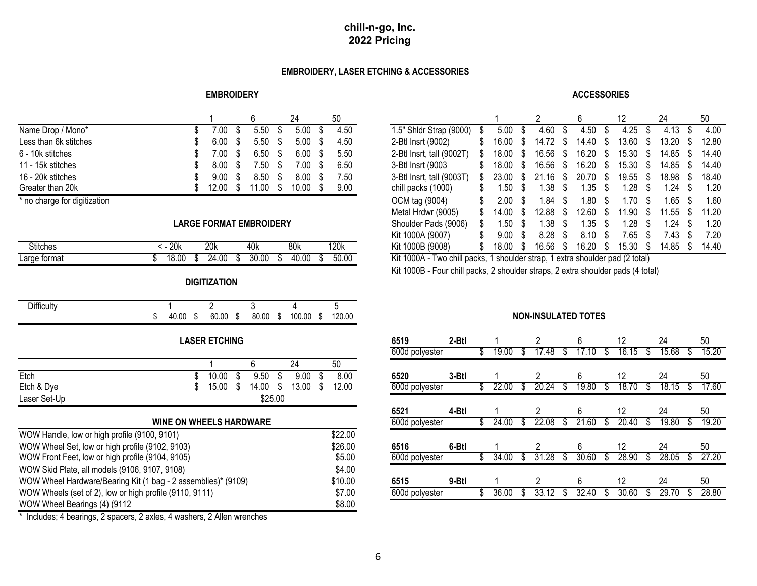## **EMBROIDERY, LASER ETCHING & ACCESSORIES**

#### **EMBROIDERY**

#### **ACCESSORIES**

|                       |       |      |                     |                    |      |                                 |                    |                            |    |                     |                     | 24                  | 50             |
|-----------------------|-------|------|---------------------|--------------------|------|---------------------------------|--------------------|----------------------------|----|---------------------|---------------------|---------------------|----------------|
| Name Drop / Mono*     | 7.00  |      | 5.50 <sup>°</sup>   | 5.00               | 4.50 | 1.5" Shidr Strap (9000)<br>ა    | $5.00 \text{ }$ \$ | 4.60                       | ৾৴ | 4.50                | 4.25                | $4.13 \text{ }$ \$  | 4.00           |
| Less than 6k stitches | 6.00  |      | 5.50 <sup>°</sup>   | 5.00               | 4.50 | 2-Btl Insrt (9002)<br>\$.       |                    | 16.00 \$ 14.72 \$          |    | $14.40 \text{ }$ \$ | 13.60 \$            | $13.20 \text{ }$ \$ | 12.80          |
| 6 - 10k stitches      | 7.00  | - \$ | $6.50\quad$ \$      | $6.00 \text{ }$ \$ | 5.50 | 2-Btl Insrt, tall (9002T)<br>S. |                    | 18.00 \$ 16.56 \$          |    | $16.20$ \$          | $15.30\quad$ \$     | 14.85 \$            | 14.40          |
| 11 - 15k stitches     | 8.00  | - \$ | $7.50$ \$           | 7.00               | 6.50 | 3-Btl Insrt (9003<br>S.         |                    | 18.00 \$ 16.56 \$          |    | $16.20$ \$          | 15.30 \$            | 14.85 \$ 14.40      |                |
| 16 - 20k stitches     | 9.00  | - \$ | $8.50\quad$ \$      | $8.00 \text{ }$ \$ | 7.50 | 3-Btl Insrt, tall (9003T)<br>S. |                    | 23.00 \$ 21.16 \$ 20.70 \$ |    |                     | 19.55 \$            | $18.98$ \$          | 18.40          |
| Greater than 20k      | 12.00 |      | $11.00 \text{ }$ \$ | 10.00              | 9.00 | chill packs (1000)<br>S.        | 1.50 <sup>5</sup>  | $1.38$ \$                  |    | 1.35 S              | 1.28                | $1.24$ \$           | 1.20           |
|                       |       |      |                     |                    |      | 0.0111 0.0011                   |                    |                            |    |                     | $\lambda$ $\lambda$ | $\sqrt{2}$          | $\overline{1}$ |

## **LARGE FORMAT EMBROIDERY**

| <b>Stitches</b> |   | 20k   |    | 20k        |   | 40k   |    | 80k   |     | 120k  |
|-----------------|---|-------|----|------------|---|-------|----|-------|-----|-------|
| Large format    | w | 18.00 | ۰D | 4.00<br>24 | ъ | 30.00 | ۰D | 40.00 | κIJ | 50.00 |

## **DIGITIZATION**

| $\mathbf{r}$<br><b>⊃</b> ifficulty |       |         |       |         |       |    |        |    |        |
|------------------------------------|-------|---------|-------|---------|-------|----|--------|----|--------|
|                                    | 40.00 | æ<br>۰D | 60.00 | æ<br>۰D | 80.00 | ۰D | 100.00 | мD | 120.00 |

## **LASER ETCHING**

|              |       |         |       |       |                |       |       | .     | .     | .     |                      |       |
|--------------|-------|---------|-------|-------|----------------|-------|-------|-------|-------|-------|----------------------|-------|
|              |       |         | - 1   | 50    |                |       |       |       |       |       |                      |       |
| Etch         | 10.00 | 9.50    | 9.00  | 8.00  | 6520           | 3-Btl |       |       |       | L     | <u>_</u>             | 50    |
| Etch & Dye   | 15.00 | 14.00   | 13.00 | 12.00 | 600d polyester |       | 22.00 | 20.24 | 19.80 | 18.70 | 18 15<br><b>U.IJ</b> | 17.60 |
| Laser Set-Up |       | \$25.00 |       |       |                |       |       |       |       |       |                      |       |

| <b>WINE ON WHEELS HARDWARE</b>                                          |         | 600d polyester |       | 24.00 | 22.08 | 21.60 | 20.40 | 19.80 | 19.20 |
|-------------------------------------------------------------------------|---------|----------------|-------|-------|-------|-------|-------|-------|-------|
| WOW Handle, low or high profile (9100, 9101)                            | \$22.00 |                |       |       |       |       |       |       |       |
| WOW Wheel Set, low or high profile (9102, 9103)                         | \$26.00 | 6516           | 6-Btl |       |       |       |       | 24    | 50    |
| WOW Front Feet, low or high profile (9104, 9105)                        | \$5.00  | 600d polyester |       | 34.00 | 31.28 | 30.60 | 28.90 | 28.05 | 27.20 |
| WOW Skid Plate, all models (9106, 9107, 9108)                           | \$4.00  |                |       |       |       |       |       |       |       |
| WOW Wheel Hardware/Bearing Kit (1 bag - 2 assemblies)* (9109)           | \$10.00 | 6515           | 9-Btl |       |       |       |       | 24    | 50    |
| WOW Wheels (set of 2), low or high profile (9110, 9111)                 | \$7.00  | 600d polyester |       | 36.00 | -33.  | 32.40 | 30.60 |       | 28.80 |
| WOW Wheel Bearings (4) (9112                                            | \$8.00  |                |       |       |       |       |       |       |       |
| * Includes; 4 bearings, 2 spacers, 2 axles, 4 washers, 2 Allen wrenches |         |                |       |       |       |       |       |       |       |

|                            |                      |                         |     |      |      | 24    | 50   |                           |       |     |       |   |       |     |       | 24    | 50    |
|----------------------------|----------------------|-------------------------|-----|------|------|-------|------|---------------------------|-------|-----|-------|---|-------|-----|-------|-------|-------|
| Name Drop / Mono*          |                      | 00.'                    | æ,  | 5.50 | - 55 | 5.00  | 4.50 | 1.5" Shldr Strap (9000)   | 5.00  | -86 | 4.60  |   | 4.50  | æ.  | 4.25  | 4.13  | 4.00  |
| Less than 6k stitches      |                      | 6.00                    |     | 5.50 |      | 5.00  | 4.50 | 2-Btl Insrt (9002)        | 16.00 |     | 14.72 |   | 14.40 |     | 3.60  | 13.20 | 12.80 |
| 6 - 10k stitches           |                      | $^{\circ}.00$           |     | 6.50 |      | 6.00  | 5.50 | 2-Btl Insrt, tall (9002T) | 18.00 |     | 16.56 |   | 16.20 |     | 15.30 | 14.85 | 14.40 |
| 11 - 15k stitches          |                      | 8.00                    | ĴО. | 7.50 | -5   | 7.00  | 6.50 | 3-Btl Insrt (9003         | 18.00 |     | 16.56 | D | 16.20 | S   | 15.30 | 14.85 | 14.40 |
| 16 - 20k stitches          |                      | 9.00                    |     | 8.50 |      | 8.00  | 7.50 | 3-Btl Insrt, tall (9003T) | 23.00 |     | .16   |   | 20.70 | -85 | 19.55 | 18.98 | 18.40 |
| Greater than 20k           |                      | 12.00                   |     | 1.00 | - 56 | 10.00 | 9.00 | chill packs (1000)        | .50 ا |     | .38   |   | .35   | P   | ∣.28  | .24   | 1.20  |
| no charge for digitization |                      |                         |     |      |      |       |      | OCM tag (9004)            | 2.00  |     | .84   |   | l.80  | \$. | .70   | .65   | 1.60  |
|                            |                      |                         |     |      |      |       |      | Metal Hrdwr (9005)        | 14.00 |     | 12.88 |   | 12.60 |     | 1.90  | 11.55 | 11.20 |
|                            |                      | LARGE FORMAT EMBROIDERY |     |      |      |       |      | Shoulder Pads (9006)      | l.50  |     | .38   |   | .35   | S   | ∣.28  | .24   | 1.20  |
|                            |                      |                         |     |      |      |       |      | Kit 1000A (9007)          | 9.00  |     | 8.28  |   | 8.10  | \$. | 7.65  | ∕.43  | 7.20  |
| <b>Stitches</b>            | $\overline{5 - 20k}$ | 20k                     |     | 40k  |      | 80k   | 120k | Kit 1000B (9008)          | 18.00 |     | 16.56 |   | 16.20 |     | 15.30 | 14.85 | 14.40 |

Kit 1000A - Two chill packs, 1 shoulder strap, 1 extra shoulder pad (2 total)

Kit 1000B - Four chill packs, 2 shoulder straps, 2 extra shoulder pads (4 total)

## **NON-INSULATED TOTES**

| 6519           | 2-Btl |                  |   | 2         |   | 6        |    | 12         |   | 24    |   | 50    |
|----------------|-------|------------------|---|-----------|---|----------|----|------------|---|-------|---|-------|
| 600d polyester |       | \$<br>.00<br>19. | S | 17.48     | S | 17<br>10 | S  | 16.15      | S | 15.68 | S | 15.20 |
| 6520           | 3-Btl |                  |   | 2         |   | 6        |    | 12         |   | 24    |   | 50    |
| 600d polyester |       | \$<br>22.00      | S | 20.24     | S | 19.80    | \$ | 18.70      | S | 18.15 |   | 17.60 |
| 6521           | 4-Btl |                  |   | 2         |   | 6        |    | 12         |   | 24    |   | 50    |
| 600d polyester |       | \$<br>24.00      | S | 22.08     | S | 21.60    | S  | 20.40      | S | 19.80 |   | 19.20 |
| 6516           | 6-Btl |                  |   | 2         |   | 6        |    | 12         |   | 24    |   | 50    |
| 600d polyester |       | \$<br>34.00      |   | .28<br>31 | S | 30.60    | S  | 28.90      | S | 28.05 |   | 27.20 |
| 6515           | 9-Btl |                  |   | 2         |   | 6        |    | 12         |   | 24    |   | 50    |
| 600d polyester |       | \$<br>36.00      | S | 33.       | S | 32.40    | S  | .60<br>30. | S | 29.   |   | 28.80 |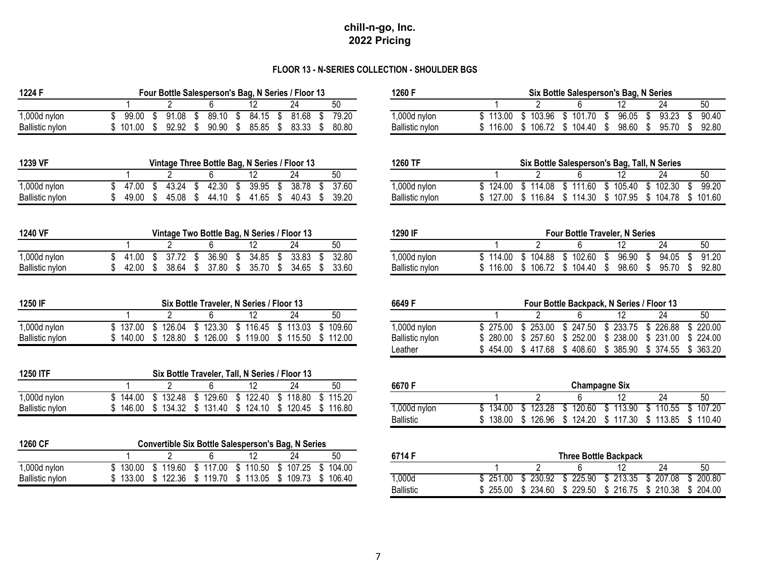## **FLOOR 13 - N-SERIES COLLECTION - SHOULDER BGS**

| 1224 F          |                                                       |  |  |  | Four Bottle Salesperson's Bag, N Series / Floor 13 |    | 1260 F          |
|-----------------|-------------------------------------------------------|--|--|--|----------------------------------------------------|----|-----------------|
|                 |                                                       |  |  |  |                                                    | 50 |                 |
| $1,000d$ nylon  | \$ 99.00 \$ 91.08 \$ 89.10 \$ 84.15 \$ 81.68 \$ 79.20 |  |  |  |                                                    |    | 1,000d          |
| Ballistic nylon | \$101.00 \$92.92 \$90.90 \$85.85 \$83.33 \$80.80      |  |  |  |                                                    |    | <b>Ballisti</b> |

| 1239 VF                | Vintage Three Bottle Bag, N Series / Floor 13 |       |       |  |       |                           |  |       |  | 1260 TF |                        |        |          |          | Six Bottle Salesperson's Bag, Tall, N Series |        |        |
|------------------------|-----------------------------------------------|-------|-------|--|-------|---------------------------|--|-------|--|---------|------------------------|--------|----------|----------|----------------------------------------------|--------|--------|
|                        |                                               |       |       |  |       |                           |  |       |  | 50      |                        |        |          |          | ے ا                                          |        |        |
| 1,000d nylon           |                                               | 17.00 | 43.24 |  | 42.30 | 39.95                     |  | 38.78 |  | 37.60   | 1,000d nylon           | 124.00 | \$114.08 | \$111.60 | 105.40                                       | 102.30 | 99.20  |
| <b>Ballistic nylon</b> |                                               | 49.00 | 45.08 |  | 44.10 | $\degree$ 41.65 $\degree$ |  | 40.43 |  | 39.20   | <b>Ballistic nylon</b> | 127.00 | \$116.84 | \$114.30 | 107.95                                       | 104.78 | 101.60 |

| 1240 VF         |  |  |  | Vintage Two Bottle Bag, N Series / Floor 13 |                                                       |    | 1290 IF          |  |
|-----------------|--|--|--|---------------------------------------------|-------------------------------------------------------|----|------------------|--|
|                 |  |  |  |                                             |                                                       | 50 |                  |  |
| $1,000d$ nylon  |  |  |  |                                             | \$ 41.00 \$ 37.72 \$ 36.90 \$ 34.85 \$ 33.83 \$ 32.80 |    | 1,000d           |  |
| Ballistic nylon |  |  |  |                                             | \$ 42.00 \$ 38.64 \$ 37.80 \$ 35.70 \$ 34.65 \$ 33.60 |    | <b>Ballistic</b> |  |

| 1250 IF         | Six Bottle Traveler, N Series / Floor 13 |                                                       |  |    |    |                 |  |  |  |  |  |
|-----------------|------------------------------------------|-------------------------------------------------------|--|----|----|-----------------|--|--|--|--|--|
|                 |                                          |                                                       |  | 24 | 50 |                 |  |  |  |  |  |
| $1,000d$ nylon  |                                          | \$137.00 \$126.04 \$123.30 \$116.45 \$113.03 \$109.60 |  |    |    | 1,000d          |  |  |  |  |  |
| Ballistic nylon |                                          | \$140.00 \$128.80 \$126.00 \$119.00 \$115.50 \$112.00 |  |    |    | <b>Ballisti</b> |  |  |  |  |  |

| 1250 ITF               |        |        |        |        | Six Bottle Traveler, Tall, N Series / Floor 13 |          |              |        |        |        |                      |                        |        |
|------------------------|--------|--------|--------|--------|------------------------------------------------|----------|--------------|--------|--------|--------|----------------------|------------------------|--------|
|                        |        |        |        |        |                                                | 50       | 6670F        |        |        |        | <b>Champagne Six</b> |                        |        |
| 1,000d nylon           | 144.00 | 132.48 | 129.60 | 122.40 | \$118.80                                       | \$115.20 |              |        |        |        |                      | $\mathcal{L}^{\omega}$ | სს     |
| <b>Ballistic nylon</b> | 146.00 | 131 32 | 131.40 | 124.10 | 120.45                                         | 116.80   | 1,000d nylon | 134.00 | 123.28 | 120.60 | 113.90               | 110.55                 | 107.20 |

| 1260 CF                |        |        |        |        | <b>Convertible Six Bottle Salesperson's Bag, N Series</b> |          |         |                |        |                       |                        |        |        |
|------------------------|--------|--------|--------|--------|-----------------------------------------------------------|----------|---------|----------------|--------|-----------------------|------------------------|--------|--------|
|                        |        |        |        |        |                                                           | 50       | 6714F   |                |        | Three Bottle Backpack |                        |        |        |
| 1,000d nylon           | 130.00 | 119.60 | 117.00 | 110.50 | 107.25                                                    | \$104.00 |         |                |        |                       | L                      | ∼      | 50     |
| <b>Ballistic nylon</b> | 133.00 | 122.36 | 119.70 | 113.05 | 109.73                                                    | \$106.40 | $000$ , | つら 1<br>201.UU | 230.92 | 225.90                | <b>つ13 35</b><br>⊾ں.ں∟ | 207.08 | 200.80 |

| 1224 F          |        | Four Bottle Salesperson's Bag, N Series / Floor 13 |       |       |       |       | 1260 F                 |        |        | Six Bottle Salesperson's Bag, N Series |       |       |       |
|-----------------|--------|----------------------------------------------------|-------|-------|-------|-------|------------------------|--------|--------|----------------------------------------|-------|-------|-------|
|                 |        |                                                    |       |       |       | 50    |                        |        |        |                                        |       | 24    |       |
| 1,000d nylon    | 99.00  | 91.08                                              | 89.10 | 84.15 | 81.68 | 79.20 | 000d nylon.            | 113.00 | 103.96 | 101.70                                 | 96.05 | 93.23 | 90.40 |
| Ballistic nvlon | 101.00 | 92.92                                              | 90.90 | 85.85 | 83.33 | 80.80 | <b>Ballistic nvlon</b> | 116.00 | 106.72 | 104.40                                 | 98.60 | 95.70 | 92.80 |

|      | 1260 TF                |  |  | Six Bottle Salesperson's Bag, Tall, N Series          |       |
|------|------------------------|--|--|-------------------------------------------------------|-------|
| 0    |                        |  |  |                                                       | 50    |
| 7.60 | $1,000d$ nylon         |  |  | \$124.00 \$114.08 \$111.60 \$105.40 \$102.30 \$       | 99.20 |
| 9.20 | <b>Ballistic nvlon</b> |  |  | \$127.00 \$116.84 \$114.30 \$107.95 \$104.78 \$101.60 |       |
|      |                        |  |  |                                                       |       |

| 1240 VF         |       |       | Vintage Two Bottle Bag, N Series / Floor 13 |       |       |       | 1290 IF                |        |        | <b>Four Bottle Traveler, N Series</b> |       |          |       |
|-----------------|-------|-------|---------------------------------------------|-------|-------|-------|------------------------|--------|--------|---------------------------------------|-------|----------|-------|
|                 |       |       |                                             |       |       |       |                        |        |        |                                       | "     | ົາ<br>44 |       |
| 1,000d nylon    | 41.00 | ヘラ つへ | 36.90                                       | 34.85 | 33.83 | 32.80 | 1,000d nylon           | 114.00 | 104.88 | 102.60                                | 96.90 | 94.05    | 91.20 |
| Ballistic nvlon | 42.00 | 38.64 | 37.80                                       | 35 70 | 34.65 | 33.60 | <b>Ballistic nylon</b> | 116.00 | 106.72 | 104.40                                | 98.60 | 95.70    | 92.80 |
|                 |       |       |                                             |       |       |       |                        |        |        |                                       |       |          |       |

| 1250 IF         |          |        | Six Bottle Traveler, N Series / Floor 13 |                  |          |        | 6649 F          |                    | Four Bottle Backpack, N Series / Floor 13 |          |    |                               |
|-----------------|----------|--------|------------------------------------------|------------------|----------|--------|-----------------|--------------------|-------------------------------------------|----------|----|-------------------------------|
|                 |          |        |                                          |                  |          |        |                 |                    |                                           |          | 24 | 50                            |
| 1,000d nylon    | ኘ 137.00 | 126.04 | \$123.30 \$116.45 \$113.03               |                  |          | 109.60 | 1,000d nylon    |                    | \$275.00 \$253.00 \$247.50 \$233.75       |          |    | \$226.88 \$220.00             |
| Ballistic nylon | 140.00   | 128.80 |                                          | 126.00 \$ 119.00 | \$115.50 | 112.00 | Ballistic nylon |                    | $$280.00 \quad $257.60 \quad $252.00$     |          |    | \$ 238.00 \$ 231.00 \$ 224.00 |
|                 |          |        |                                          |                  |          |        | ∟eather         | $$454.00 \$417.68$ | \$408.60                                  | \$385.90 |    | \$374.55 \$363.20             |

| 0    | 6670 F           |          |  | <b>Champagne Six</b>                         |    |
|------|------------------|----------|--|----------------------------------------------|----|
| 5.20 |                  |          |  |                                              | 50 |
| 6.80 | 1,000d nylon     | \$134.00 |  | \$123.28 \$120.60 \$113.90 \$110.55 \$107.20 |    |
|      | <b>Ballistic</b> | \$138.00 |  | \$126.96 \$124.20 \$117.30 \$113.85 \$110.40 |    |

| 0     | 6714 F           |  | <b>Three Bottle Backpack</b>                                |  |    |
|-------|------------------|--|-------------------------------------------------------------|--|----|
| 14.00 |                  |  |                                                             |  | 50 |
| 6.40  | 1.000d           |  | \$ 251.00 \$ 230.92 \$ 225.90 \$ 213.35 \$ 207.08 \$ 200.80 |  |    |
|       | <b>Ballistic</b> |  | \$ 255.00 \$ 234.60 \$ 229.50 \$ 216.75 \$ 210.38 \$ 204.00 |  |    |